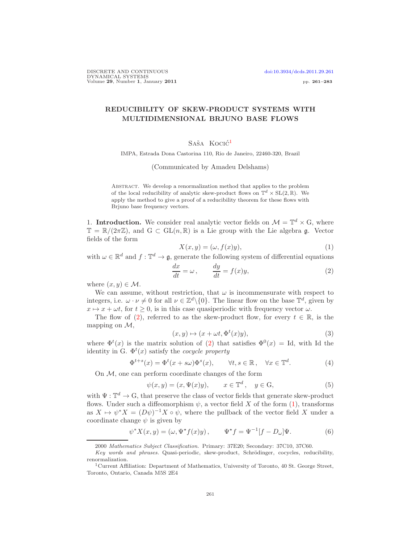# REDUCIBILITY OF SKEW-PRODUCT SYSTEMS WITH MULTIDIMENSIONAL BRJUNO BASE FLOWS

# Saša Kocić<sup>[1](#page-0-0)</sup>

IMPA, Estrada Dona Castorina 110, Rio de Janeiro, 22460-320, Brazil

#### (Communicated by Amadeu Delshams)

Abstract. We develop a renormalization method that applies to the problem of the local reducibility of analytic skew-product flows on  $\mathbb{T}^d \times SL(2,\mathbb{R})$ . We apply the method to give a proof of a reducibility theorem for these flows with Brjuno base frequency vectors.

1. Introduction. We consider real analytic vector fields on  $\mathcal{M} = \mathbb{T}^d \times G$ , where  $\mathbb{T} = \mathbb{R}/(2\pi\mathbb{Z})$ , and  $G \subset GL(n,\mathbb{R})$  is a Lie group with the Lie algebra g. Vector fields of the form

<span id="page-0-2"></span>
$$
X(x, y) = (\omega, f(x)y), \tag{1}
$$

with  $\omega \in \mathbb{R}^d$  and  $f: \mathbb{T}^d \to \mathfrak{g}$ , generate the following system of differential equations

<span id="page-0-1"></span>
$$
\frac{dx}{dt} = \omega, \qquad \frac{dy}{dt} = f(x)y,
$$
\n(2)

where  $(x, y) \in \mathcal{M}$ .

We can assume, without restriction, that  $\omega$  is incommensurate with respect to integers, i.e.  $\omega \cdot \nu \neq 0$  for all  $\nu \in \mathbb{Z}^d \setminus \{0\}$ . The linear flow on the base  $\mathbb{T}^d$ , given by  $x \mapsto x + \omega t$ , for  $t \geq 0$ , is in this case quasiperiodic with frequency vector  $\omega$ .

The flow of [\(2\)](#page-0-1), referred to as the skew-product flow, for every  $t \in \mathbb{R}$ , is the mapping on  $\mathcal{M}$ ,

<span id="page-0-4"></span>
$$
(x, y) \mapsto (x + \omega t, \Phi^t(x)y), \tag{3}
$$

where  $\Phi^t(x)$  is the matrix solution of [\(2\)](#page-0-1) that satisfies  $\Phi^0(x) = \text{Id}$ , with Id the identity in G.  $\Phi^t(x)$  satisfy the *cocycle property* 

<span id="page-0-5"></span>
$$
\Phi^{t+s}(x) = \Phi^t(x + s\omega)\Phi^s(x), \qquad \forall t, s \in \mathbb{R}, \quad \forall x \in \mathbb{T}^d. \tag{4}
$$

On M, one can perform coordinate changes of the form

<span id="page-0-3"></span>
$$
\psi(x, y) = (x, \Psi(x)y), \qquad x \in \mathbb{T}^d, \quad y \in \mathcal{G}, \tag{5}
$$

with  $\Psi: \mathbb{T}^d \to G$ , that preserve the class of vector fields that generate skew-product flows. Under such a diffeomorphism  $\psi$ , a vector field X of the form [\(1\)](#page-0-2), transforms as  $X \mapsto \psi^* X = (D\psi)^{-1} X \circ \psi$ , where the pullback of the vector field X under a coordinate change  $\psi$  is given by

$$
\psi^* X(x, y) = (\omega, \Psi^* f(x) y), \qquad \Psi^* f = \Psi^{-1} [f - D_\omega] \Psi.
$$
 (6)

<sup>2000</sup> Mathematics Subject Classification. Primary: 37E20; Secondary: 37C10, 37C60.

Key words and phrases. Quasi-periodic, skew-product, Schrödinger, cocycles, reducibility, renormalization.

<span id="page-0-0"></span><sup>1</sup>Current Affiliation: Department of Mathematics, University of Toronto, 40 St. George Street, Toronto, Ontario, Canada M5S 2E4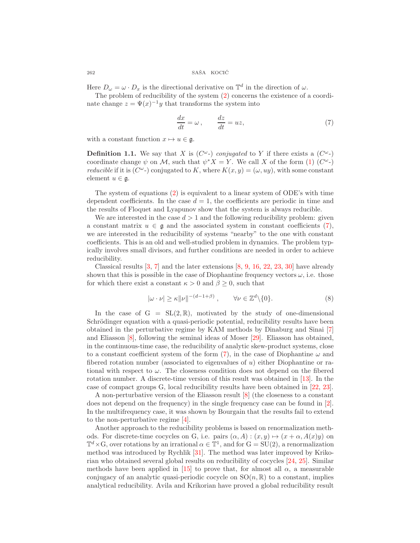Here  $D_{\omega} = \omega \cdot D_x$  is the directional derivative on  $\mathbb{T}^d$  in the direction of  $\omega$ .

The problem of reducibility of the system [\(2\)](#page-0-1) concerns the existence of a coordinate change  $z = \Psi(x)^{-1}y$  that transforms the system into

<span id="page-1-0"></span>
$$
\frac{dx}{dt} = \omega, \qquad \frac{dz}{dt} = uz,
$$
\n(7)

with a constant function  $x \mapsto u \in \mathfrak{g}$ .

**Definition 1.1.** We say that X is  $(C^{\omega})$  conjugated to Y if there exists a  $(C^{\omega})$ coordinate change  $\psi$  on M, such that  $\psi^* X = Y$ . We call X of the form [\(1\)](#page-0-2)  $(C^{\omega})$ *reducible* if it is  $(C^{\omega})$  conjugated to K, where  $K(x, y) = (\omega, uy)$ , with some constant element  $u \in \mathfrak{g}$ .

The system of equations [\(2\)](#page-0-1) is equivalent to a linear system of ODE's with time dependent coefficients. In the case  $d = 1$ , the coefficients are periodic in time and the results of Floquet and Lyapunov show that the system is always reducible.

We are interested in the case  $d > 1$  and the following reducibility problem: given a constant matrix  $u \in \mathfrak{g}$  and the associated system in constant coefficients [\(7\)](#page-1-0), we are interested in the reducibility of systems "nearby" to the one with constant coefficients. This is an old and well-studied problem in dynamics. The problem typically involves small divisors, and further conditions are needed in order to achieve reducibility.

Classical results  $[3, 7]$  $[3, 7]$  and the later extensions  $[8, 9, 16, 22, 23, 30]$  $[8, 9, 16, 22, 23, 30]$  $[8, 9, 16, 22, 23, 30]$  $[8, 9, 16, 22, 23, 30]$  $[8, 9, 16, 22, 23, 30]$  $[8, 9, 16, 22, 23, 30]$  $[8, 9, 16, 22, 23, 30]$  $[8, 9, 16, 22, 23, 30]$  $[8, 9, 16, 22, 23, 30]$  $[8, 9, 16, 22, 23, 30]$  have already shown that this is possible in the case of Diophantine frequency vectors  $\omega$ , i.e. those for which there exist a constant  $\kappa > 0$  and  $\beta \geq 0$ , such that

$$
|\omega \cdot \nu| \ge \kappa \|\nu\|^{-(d-1+\beta)}, \qquad \forall \nu \in \mathbb{Z}^d \setminus \{0\}.
$$
 (8)

In the case of  $G = SL(2,\mathbb{R})$ , motivated by the study of one-dimensional Schrödinger equation with a quasi-periodic potential, reducibility results have been obtained in the perturbative regime by KAM methods by Dinaburg and Sinai [\[7\]](#page-21-1) and Eliasson [\[8\]](#page-21-2), following the seminal ideas of Moser [\[29\]](#page-22-5). Eliasson has obtained, in the continuous-time case, the reducibility of analytic skew-product systems, close to a constant coefficient system of the form  $(7)$ , in the case of Diophantine  $\omega$  and fibered rotation number (associated to eigenvalues of u) either Diophantine or rational with respect to  $\omega$ . The closeness condition does not depend on the fibered rotation number. A discrete-time version of this result was obtained in [\[13\]](#page-22-6). In the case of compact groups G, local reducibility results have been obtained in [\[22,](#page-22-2) [23\]](#page-22-3).

A non-perturbative version of the Eliasson result [\[8\]](#page-21-2) (the closeness to a constant does not depend on the frequency) in the single frequency case can be found in [\[2\]](#page-21-3). In the multifrequency case, it was shown by Bourgain that the results fail to extend to the non-perturbative regime [\[4\]](#page-21-4).

Another approach to the reducibility problems is based on renormalization methods. For discrete-time cocycles on G, i.e. pairs  $(\alpha, A) : (x, y) \mapsto (x + \alpha, A(x)y)$  on  $\mathbb{T}^d \times G$ , over rotations by an irrational  $\alpha \in \mathbb{T}^1$ , and for  $G = SU(2)$ , a renormalization method was introduced by Rychlik [\[31\]](#page-22-7). The method was later improved by Krikorian who obtained several global results on reducibility of cocycles [\[24,](#page-22-8) [25\]](#page-22-9). Similar methods have been applied in [\[15\]](#page-22-10) to prove that, for almost all  $\alpha$ , a measurable conjugacy of an analytic quasi-periodic cocycle on  $SO(n, \mathbb{R})$  to a constant, implies analytical reducibility. Avila and Krikorian have proved a global reducibility result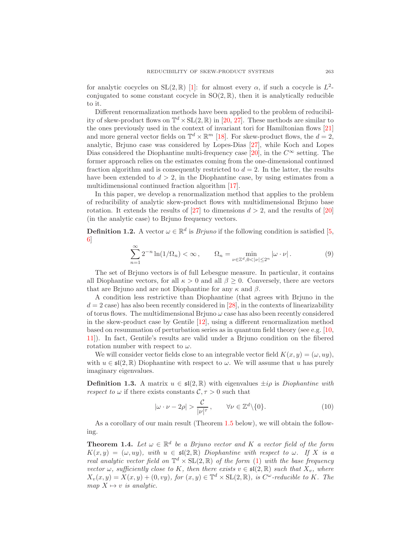for analytic cocycles on  $SL(2,\mathbb{R})$  [\[1\]](#page-21-5): for almost every  $\alpha$ , if such a cocycle is  $L^2$ conjugated to some constant cocycle in  $SO(2,\mathbb{R})$ , then it is analytically reducible to it.

Different renormalization methods have been applied to the problem of reducibility of skew-product flows on  $\mathbb{T}^d \times SL(2,\mathbb{R})$  in [\[20,](#page-22-11) [27\]](#page-22-12). These methods are similar to the ones previously used in the context of invariant tori for Hamiltonian flows [\[21\]](#page-22-13) and more general vector fields on  $\mathbb{T}^d \times \mathbb{R}^m$  [\[18\]](#page-22-14). For skew-product flows, the  $d = 2$ , analytic, Brjuno case was considered by Lopes-Dias [\[27\]](#page-22-12), while Koch and Lopes Dias considered the Diophantine multi-frequency case [\[20\]](#page-22-11), in the  $C^{\infty}$  setting. The former approach relies on the estimates coming from the one-dimensional continued fraction algorithm and is consequently restricted to  $d = 2$ . In the latter, the results have been extended to  $d > 2$ , in the Diophantine case, by using estimates from a multidimensional continued fraction algorithm [\[17\]](#page-22-15).

In this paper, we develop a renormalization method that applies to the problem of reducibility of analytic skew-product flows with multidimensional Brjuno base rotation. It extends the results of [\[27\]](#page-22-12) to dimensions  $d > 2$ , and the results of [\[20\]](#page-22-11) (in the analytic case) to Brjuno frequency vectors.

**Definition 1.2.** A vector  $\omega \in \mathbb{R}^d$  is *Brjuno* if the following condition is satisfied [\[5,](#page-21-6) [6\]](#page-21-7)

<span id="page-2-1"></span>
$$
\sum_{n=1}^{\infty} 2^{-n} \ln(1/\Omega_n) < \infty \,, \qquad \Omega_n = \min_{\nu \in \mathbb{Z}^d, 0 < |\nu| \le 2^n} |\omega \cdot \nu| \,. \tag{9}
$$

The set of Brjuno vectors is of full Lebesgue measure. In particular, it contains all Diophantine vectors, for all  $\kappa > 0$  and all  $\beta > 0$ . Conversely, there are vectors that are Brjuno and are not Diophantine for any  $\kappa$  and  $\beta$ .

A condition less restrictive than Diophantine (that agrees with Brjuno in the  $d = 2$  case) has also been recently considered in [\[28\]](#page-22-16), in the contexts of linearizability of torus flows. The multidimensional Brjuno  $\omega$  case has also been recently considered in the skew-product case by Gentile [\[12\]](#page-22-17), using a different renormalization method based on resummation of perturbation series as in quantum field theory (see e.g. [\[10,](#page-22-18) [11\]](#page-22-19)). In fact, Gentile's results are valid under a Brjuno condition on the fibered rotation number with respect to  $\omega$ .

We will consider vector fields close to an integrable vector field  $K(x, y) = (\omega, uy)$ , with  $u \in \mathfrak{sl}(2,\mathbb{R})$  Diophantine with respect to  $\omega$ . We will assume that u has purely imaginary eigenvalues.

**Definition 1.3.** A matrix  $u \in \mathfrak{sl}(2,\mathbb{R})$  with eigenvalues  $\pm i\rho$  is *Diophantine with* respect to  $\omega$  if there exists constants  $\mathcal{C}, \tau > 0$  such that

<span id="page-2-2"></span>
$$
|\omega \cdot \nu - 2\rho| > \frac{\mathcal{C}}{|\nu|^{\tau}}, \qquad \forall \nu \in \mathbb{Z}^d \setminus \{0\}.
$$
 (10)

As a corollary of our main result (Theorem [1.5](#page-3-0) below), we will obtain the following.

<span id="page-2-0"></span>**Theorem 1.4.** Let  $\omega \in \mathbb{R}^d$  be a Brjuno vector and K a vector field of the form  $K(x, y) = (\omega, uy)$ , with  $u \in \mathfrak{sl}(2, \mathbb{R})$  Diophantine with respect to  $\omega$ . If X is a real analytic vector field on  $\mathbb{T}^d \times SL(2,\mathbb{R})$  of the form [\(1\)](#page-0-2) with the base frequency vector  $\omega$ , sufficiently close to K, then there exists  $v \in \mathfrak{sl}(2,\mathbb{R})$  such that  $X_v$ , where  $X_v(x, y) = X(x, y) + (0, vy)$ , for  $(x, y) \in \mathbb{T}^d \times SL(2, \mathbb{R})$ , is  $C^{\omega}$ -reducible to K. The map  $X \mapsto v$  is analytic.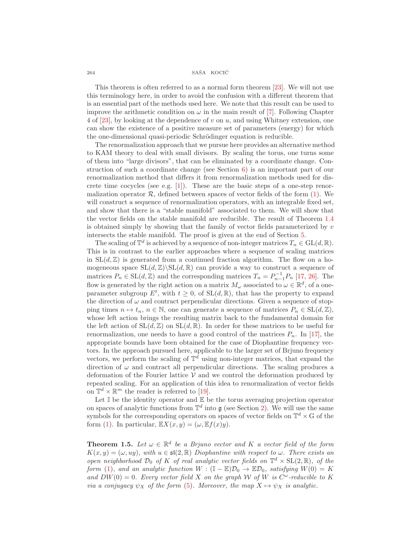### $264$  SAŠA KOCIĆ

This theorem is often referred to as a normal form theorem [\[23\]](#page-22-3). We will not use this terminology here, in order to avoid the confusion with a different theorem that is an essential part of the methods used here. We note that this result can be used to improve the arithmetic condition on  $\omega$  in the main result of [\[7\]](#page-21-1). Following Chapter 4 of [\[23\]](#page-22-3), by looking at the dependence of v on u, and using Whitney extension, one can show the existence of a positive measure set of parameters (energy) for which the one-dimensional quasi-periodic Schrödinger equation is reducible.

The renormalization approach that we pursue here provides an alternative method to KAM theory to deal with small divisors. By scaling the torus, one turns some of them into "large divisors", that can be eliminated by a coordinate change. Construction of such a coordinate change (see Section [6\)](#page-17-0) is an important part of our renormalization method that differs it from renormalization methods used for discrete time cocycles (see e.g.  $[1]$ ). These are the basic steps of a one-step renormalization operator  $\mathcal{R}$ , defined between spaces of vector fields of the form [\(1\)](#page-0-2). We will construct a sequence of renormalization operators, with an integrable fixed set, and show that there is a "stable manifold" associated to them. We will show that the vector fields on the stable manifold are reducible. The result of Theorem [1.4](#page-2-0) is obtained simply by showing that the family of vector fields parameterized by  $v$ intersects the stable manifold. The proof is given at the end of Section [5.](#page-13-0)

The scaling of  $\mathbb{T}^d$  is achieved by a sequence of non-integer matrices  $T_n \in GL(d, \mathbb{R})$ . This is in contrast to the earlier approaches where a sequence of scaling matrices in  $SL(d, \mathbb{Z})$  is generated from a continued fraction algorithm. The flow on a homogeneous space  $SL(d, \mathbb{Z})\setminus SL(d, \mathbb{R})$  can provide a way to construct a sequence of matrices  $P_n \in SL(d, \mathbb{Z})$  and the corresponding matrices  $T_n = P_{n-1}^{-1} P_n$  [\[17,](#page-22-15) [26\]](#page-22-20). The flow is generated by the right action on a matrix  $M_{\omega}$  associated to  $\omega \in \mathbb{R}^d$ , of a oneparameter subgroup  $E^t$ , with  $t \geq 0$ , of  $SL(d, \mathbb{R})$ , that has the property to expand the direction of  $\omega$  and contract perpendicular directions. Given a sequence of stopping times  $n \mapsto t_n$ ,  $n \in \mathbb{N}$ , one can generate a sequence of matrices  $P_n \in SL(d, \mathbb{Z})$ , whose left action brings the resulting matrix back to the fundamental domain for the left action of  $SL(d, \mathbb{Z})$  on  $SL(d, \mathbb{R})$ . In order for these matrices to be useful for renormalization, one needs to have a good control of the matrices  $P_n$ . In [\[17\]](#page-22-15), the appropriate bounds have been obtained for the case of Diophantine frequency vectors. In the approach pursued here, applicable to the larger set of Brjuno frequency vectors, we perform the scaling of  $\mathbb{T}^d$  using non-integer matrices, that expand the direction of  $\omega$  and contract all perpendicular directions. The scaling produces a deformation of the Fourier lattice  $V$  and we control the deformation produced by repeated scaling. For an application of this idea to renormalization of vector fields on  $\mathbb{T}^d \times \mathbb{R}^m$  the reader is referred to [\[19\]](#page-22-21).

Let  $\mathbb I$  be the identity operator and  $\mathbb E$  be the torus averaging projection operator on spaces of analytic functions from  $\mathbb{T}^d$  into  $\mathfrak{g}$  (see Section [2\)](#page-4-0). We will use the same symbols for the corresponding operators on spaces of vector fields on  $\mathbb{T}^d \times G$  of the form [\(1\)](#page-0-2). In particular,  $\mathbb{E}X(x,y) = (\omega, \mathbb{E}f(x)y)$ .

<span id="page-3-0"></span>**Theorem 1.5.** Let  $\omega \in \mathbb{R}^d$  be a Brjuno vector and K a vector field of the form  $K(x, y) = (\omega, uy)$ , with  $u \in \mathfrak{sl}(2, \mathbb{R})$  Diophantine with respect to  $\omega$ . There exists an open neighborhood  $\mathcal{D}_0$  of K of real analytic vector fields on  $\mathbb{T}^d \times SL(2,\mathbb{R})$ , of the form [\(1\)](#page-0-2), and an analytic function  $W : (\mathbb{I} - \mathbb{E})\mathcal{D}_0 \to \mathbb{E}\mathcal{D}_0$ , satisfying  $W(0) = K$ and  $DW(0) = 0$ . Every vector field X on the graph W of W is  $C^{\omega}$ -reducible to K via a conjugacy  $\psi_X$  of the form [\(5\)](#page-0-3). Moreover, the map  $X \mapsto \psi_X$  is analytic.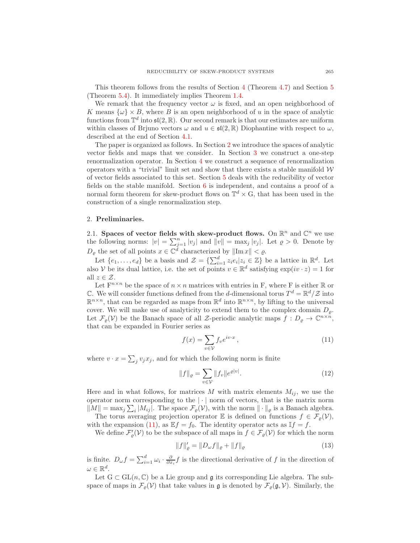This theorem follows from the results of Section [4](#page-10-0) (Theorem [4.7\)](#page-13-1) and Section [5](#page-13-0) (Theorem [5.4\)](#page-16-0). It immediately implies Theorem [1.4.](#page-2-0)

We remark that the frequency vector  $\omega$  is fixed, and an open neighborhood of K means  $\{\omega\}\times B$ , where B is an open neighborhood of u in the space of analytic functions from  $\mathbb{T}^d$  into  $\mathfrak{sl}(2,\mathbb{R})$ . Our second remark is that our estimates are uniform within classes of Brjuno vectors  $\omega$  and  $u \in \mathfrak{sl}(2,\mathbb{R})$  Diophantine with respect to  $\omega$ , described at the end of Section [4.1.](#page-10-1)

The paper is organized as follows. In Section [2](#page-4-0) we introduce the spaces of analytic vector fields and maps that we consider. In Section [3](#page-5-0) we construct a one-step renormalization operator. In Section [4](#page-10-0) we construct a sequence of renormalization operators with a "trivial" limit set and show that there exists a stable manifold  $W$ of vector fields associated to this set. Section [5](#page-13-0) deals with the reducibility of vector fields on the stable manifold. Section [6](#page-17-0) is independent, and contains a proof of a normal form theorem for skew-product flows on  $\mathbb{T}^d \times G$ , that has been used in the construction of a single renormalization step.

### <span id="page-4-0"></span>2. Preliminaries.

2.1. Spaces of vector fields with skew-product flows. On  $\mathbb{R}^n$  and  $\mathbb{C}^n$  we use the following norms:  $|v| = \sum_{j=1}^n |v_j|$  and  $||v|| = \max_j |v_j|$ . Let  $\rho > 0$ . Denote by  $D_{\varrho}$  the set of all points  $x \in \mathbb{C}^d$  characterized by  $\|\text{Im } x\| < \varrho$ .

Let  $\{e_1,\ldots,e_d\}$  be a basis and  $\mathcal{Z} = \{\sum_{i=1}^d z_i e_i | z_i \in \mathbb{Z}\}\$  be a lattice in  $\mathbb{R}^d$ . Let also V be its dual lattice, i.e. the set of points  $v \in \mathbb{R}^d$  satisfying  $\exp(iv \cdot z) = 1$  for all  $z \in \mathcal{Z}$ .

Let  $F^{n \times n}$  be the space of  $n \times n$  matrices with entries in F, where F is either R or C. We will consider functions defined from the d-dimensional torus  $T^d = \mathbb{R}^d / \mathcal{Z}$  into  $\mathbb{R}^{n \times n}$ , that can be regarded as maps from  $\mathbb{R}^d$  into  $\mathbb{R}^{n \times n}$ , by lifting to the universal cover. We will make use of analyticity to extend them to the complex domain  $D_{\rho}$ . Let  $\mathcal{F}_{\varrho}(\mathcal{V})$  be the Banach space of all  $\mathcal{Z}$ -periodic analytic maps  $f: D_{\varrho} \to \mathbb{C}^{n \times n}$ , that can be expanded in Fourier series as

<span id="page-4-1"></span>
$$
f(x) = \sum_{v \in \mathcal{V}} f_v e^{iv \cdot x},\tag{11}
$$

where  $v \cdot x = \sum_j v_j x_j$ , and for which the following norm is finite

$$
||f||_{\varrho} = \sum_{v \in \mathcal{V}} ||f_v|| e^{\varrho |v|}.
$$
 (12)

Here and in what follows, for matrices M with matrix elements  $M_{ij}$ , we use the operator norm corresponding to the  $|\cdot|$  norm of vectors, that is the matrix norm  $||M|| = \max_j \sum_i |M_{ij}|$ . The space  $\mathcal{F}_{\varrho}(\mathcal{V})$ , with the norm  $|| \cdot ||_{\varrho}$  is a Banach algebra.

The torus averaging projection operator E is defined on functions  $f \in \mathcal{F}_{\rho}(\mathcal{V}),$ with the expansion [\(11\)](#page-4-1), as  $\mathbb{E} f = f_0$ . The identity operator acts as  $\mathbb{I} f = f$ .

We define  $\mathcal{F}'_{\varrho}(\mathcal{V})$  to be the subspace of all maps in  $f \in \mathcal{F}_{\varrho}(\mathcal{V})$  for which the norm

$$
||f||'_{\varrho} = ||D_{\omega}f||_{\varrho} + ||f||_{\varrho}
$$
\n(13)

is finite.  $D_{\omega}f = \sum_{i=1}^d \omega_i \cdot \frac{\partial}{\partial x_i} f$  is the directional derivative of f in the direction of  $\omega \in \mathbb{R}^d$ .

Let  $G \subset GL(n, \mathbb{C})$  be a Lie group and g its corresponding Lie algebra. The subspace of maps in  $\mathcal{F}_{\varrho}(\mathcal{V})$  that take values in  $\mathfrak{g}$  is denoted by  $\mathcal{F}_{\varrho}(\mathfrak{g}, \mathcal{V})$ . Similarly, the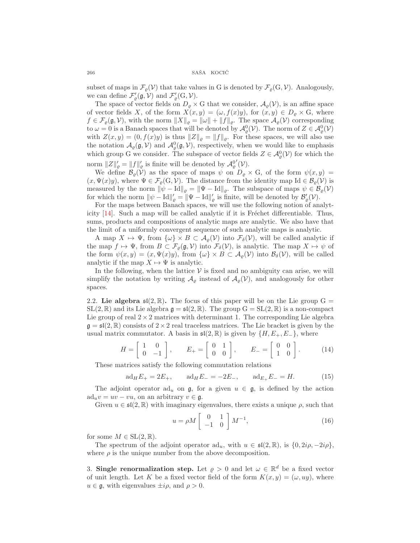$\begin{array}{ccccc} 266 & & & \mathrm{SA\check{S}A} & \mathrm{KOCI}\acute{C} \end{array}$ 

subset of maps in  $\mathcal{F}_{\rho}(\mathcal{V})$  that take values in G is denoted by  $\mathcal{F}_{\rho}(G, \mathcal{V})$ . Analogously, we can define  $\mathcal{F}'_{\varrho}(\mathfrak{g}, \mathcal{V})$  and  $\mathcal{F}'_{\varrho}(G, \mathcal{V})$ .

The space of vector fields on  $D_{\varrho} \times G$  that we consider,  $\mathcal{A}_{\varrho}(\mathcal{V})$ , is an affine space of vector fields X, of the form  $X(x, y) = (\omega, f(x)y)$ , for  $(x, y) \in D_{\varrho} \times G$ , where  $f \in \mathcal{F}_{\rho}(\mathfrak{g}, \mathcal{V})$ , with the norm  $||X||_{\rho} = ||\omega|| + ||f||_{\rho}$ . The space  $\mathcal{A}_{\rho}(\mathcal{V})$  corresponding to  $\omega = 0$  is a Banach spaces that will be denoted by  $\mathcal{A}_{\varrho}^{0}(\mathcal{V})$ . The norm of  $Z \in \mathcal{A}_{\varrho}^{0}(\mathcal{V})$ with  $Z(x, y) = (0, f(x)y)$  is thus  $||Z||_{\varrho} = ||f||_{\varrho}$ . For these spaces, we will also use the notation  $\mathcal{A}_{\varrho}(\mathfrak{g}, V)$  and  $\mathcal{A}_{\varrho}^{0}(\mathfrak{g}, V)$ , respectively, when we would like to emphasis which group G we consider. The subspace of vector fields  $Z \in \mathcal{A}_{\varrho}^{0}(\mathcal{V})$  for which the norm  $||Z||'_{\varrho} = ||f||'_{\varrho}$  is finite will be denoted by  $\mathcal{A}_{\varrho}^{0}$  $'(\mathcal{V})$ .

We define  $\mathcal{B}_{\varrho}(\mathcal{V})$  as the space of maps  $\psi$  on  $D_{\varrho} \times G$ , of the form  $\psi(x, y) =$  $(x, \Psi(x)y)$ , where  $\Psi \in \mathcal{F}_{\rho}(G, \mathcal{V})$ . The distance from the identity map Id  $\in \mathcal{B}_{\rho}(\mathcal{V})$  is measured by the norm  $\|\psi - Id\|_{\varrho} = \|\Psi - Id\|_{\varrho}$ . The subspace of maps  $\psi \in \mathcal{B}_{\varrho}(\mathcal{V})$ for which the norm  $\|\psi - \text{Id}\|_{\varrho}' = \|\Psi - \text{Id}\|_{\varrho}'$  is finite, will be denoted by  $\mathcal{B}'_{\varrho}(\mathcal{V})$ .

For the maps between Banach spaces, we will use the following notion of analyticity  $[14]$ . Such a map will be called analytic if it is Fréchet differentiable. Thus, sums, products and compositions of analytic maps are analytic. We also have that the limit of a uniformly convergent sequence of such analytic maps is analytic.

A map  $X \mapsto \Psi$ , from  $\{\omega\} \times B \subset \mathcal{A}_{\rho}(\mathcal{V})$  into  $\mathcal{F}_{\delta}(\mathcal{V})$ , will be called analytic if the map  $f \mapsto \Psi$ , from  $B \subset \mathcal{F}_{\rho}(\mathfrak{g}, V)$  into  $\mathcal{F}_{\delta}(V)$ , is analytic. The map  $X \mapsto \psi$  of the form  $\psi(x, y) = (x, \Psi(x)y)$ , from  $\{\omega\} \times B \subset \mathcal{A}_{\rho}(\mathcal{V})$  into  $\mathcal{B}_{\delta}(\mathcal{V})$ , will be called analytic if the map  $X \mapsto \Psi$  is analytic.

In the following, when the lattice  $V$  is fixed and no ambiguity can arise, we will simplify the notation by writing  $\mathcal{A}_{\rho}$  instead of  $\mathcal{A}_{\rho}(\mathcal{V})$ , and analogously for other spaces.

2.2. Lie algebra  $\mathfrak{sl}(2,\mathbb{R})$ . The focus of this paper will be on the Lie group G =  $SL(2,\mathbb{R})$  and its Lie algebra  $\mathfrak{g} = \mathfrak{sl}(2,\mathbb{R})$ . The group  $G = SL(2,\mathbb{R})$  is a non-compact Lie group of real  $2 \times 2$  matrices with determinant 1. The corresponding Lie algebra  $\mathfrak{g} = \mathfrak{sl}(2,\mathbb{R})$  consists of  $2 \times 2$  real traceless matrices. The Lie bracket is given by the usual matrix commutator. A basis in  $\mathfrak{sl}(2,\mathbb{R})$  is given by  $\{H,E_+,E_-\}$ , where

$$
H = \begin{bmatrix} 1 & 0 \\ 0 & -1 \end{bmatrix}, \qquad E_+ = \begin{bmatrix} 0 & 1 \\ 0 & 0 \end{bmatrix}, \qquad E_- = \begin{bmatrix} 0 & 0 \\ 1 & 0 \end{bmatrix}.
$$
 (14)

These matrices satisfy the following commutation relations

$$
ad_H E_+ = 2E_+, \t ad_H E_- = -2E_-, \t ad_{E_+} E_- = H. \t (15)
$$

The adjoint operator  $ad_u$  on  $\mathfrak{g}$ , for a given  $u \in \mathfrak{g}$ , is defined by the action  $\mathrm{ad}_uv = uv - vu$ , on an arbitrary  $v \in \mathfrak{g}$ .

Given  $u \in \mathfrak{sl}(2,\mathbb{R})$  with imaginary eigenvalues, there exists a unique  $\rho$ , such that

$$
u = \rho M \begin{bmatrix} 0 & 1 \\ -1 & 0 \end{bmatrix} M^{-1}, \tag{16}
$$

for some  $M \in SL(2, \mathbb{R})$ .

The spectrum of the adjoint operator  $ad_u$ , with  $u \in \mathfrak{sl}(2,\mathbb{R})$ , is  $\{0, 2i\rho, -2i\rho\}$ , where  $\rho$  is the unique number from the above decomposition.

<span id="page-5-0"></span>3. Single renormalization step. Let  $\varrho > 0$  and let  $\omega \in \mathbb{R}^d$  be a fixed vector of unit length. Let K be a fixed vector field of the form  $K(x, y) = (\omega, uy)$ , where  $u \in \mathfrak{g}$ , with eigenvalues  $\pm i\rho$ , and  $\rho > 0$ .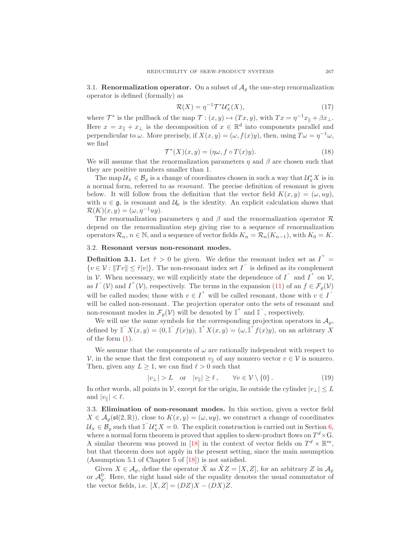3.1. **Renormalization operator.** On a subset of  $A<sub>o</sub>$  the one-step renormalization operator is defined (formally) as

$$
\mathcal{R}(X) = \eta^{-1} \mathcal{T}^* \mathcal{U}^*_X(X),\tag{17}
$$

where  $\mathcal{T}^*$  is the pullback of the map  $\mathcal{T} : (x, y) \mapsto (Tx, y)$ , with  $Tx = \eta^{-1}x_{\parallel} + \beta x_{\perp}$ . Here  $x = x_{\parallel} + x_{\perp}$  is the decomposition of  $x \in \mathbb{R}^d$  into components parallel and perpendicular to  $\omega$ . More precisely, if  $X(x, y) = (\omega, f(x)y)$ , then, using  $T\omega = \eta^{-1}\omega$ , we find

$$
\mathcal{T}^*(X)(x, y) = (\eta \omega, f \circ T(x)y). \tag{18}
$$

We will assume that the renormalization parameters  $\eta$  and  $\beta$  are chosen such that they are positive numbers smaller than 1.

The map  $\mathcal{U}_x \in \mathcal{B}_\varrho$  is a change of coordinates chosen in such a way that  $\mathcal{U}_x^* X$  is in a normal form, referred to as resonant. The precise definition of resonant is given below. It will follow from the definition that the vector field  $K(x, y) = (\omega, uy)$ , with  $u \in \mathfrak{g}$ , is resonant and  $\mathcal{U}_K$  is the identity. An explicit calculation shows that  $\mathcal{R}(K)(x, y) = (\omega, \eta^{-1}uy).$ 

The renormalization parameters  $\eta$  and  $\beta$  and the renormalization operator  $\mathcal R$ depend on the renormalization step giving rise to a sequence of renormalization operators  $\mathcal{R}_n$ ,  $n \in \mathbb{N}$ , and a sequence of vector fields  $K_n = \mathcal{R}_n(K_{n-1})$ , with  $K_0 = K$ .

### 3.2. Resonant versus non-resonant modes.

**Definition 3.1.** Let  $\tilde{\tau} > 0$  be given. We define the resonant index set as  $I^+$  $\{v \in \mathcal{V} : ||Tv|| \leq \tilde{\tau}|v|\}.$  The non-resonant index set  $I^{\top}$  is defined as its complement in V. When necessary, we will explicitly state the dependence of  $I^-$  and  $I^+$  on V, as  $I^-(\mathcal{V})$  and  $I^+(\mathcal{V})$ , respectively. The terms in the expansion [\(11\)](#page-4-1) of an  $f \in \mathcal{F}_\varrho(\mathcal{V})$ will be called modes; those with  $v \in I^+$  will be called resonant, those with  $v \in I^$ will be called non-resonant. The projection operator onto the sets of resonant and non-resonant modes in  $\mathcal{F}_{\varrho}(\mathcal{V})$  will be denoted by  $\mathbb{I}^+$  and  $\mathbb{I}^-$ , respectively.

We will use the same symbols for the corresponding projection operators in  $\mathcal{A}_{\rho}$ , defined by  $\mathbb{I}^{\top} X(x, y) = (0, \mathbb{I}^{\top} f(x)y), \mathbb{I}^{\top} X(x, y) = (\omega, \mathbb{I}^{\top} f(x)y)$ , on an arbitrary X of the form [\(1\)](#page-0-2).

We assume that the components of  $\omega$  are rationally independent with respect to V, in the sense that the first component  $v_{\parallel}$  of any nonzero vector  $v \in V$  is nonzero. Then, given any  $L \geq 1$ , we can find  $\ell > 0$  such that

<span id="page-6-0"></span>
$$
|v_{\perp}| > L \quad \text{or} \quad |v_{\parallel}| \ge \ell \,, \qquad \forall v \in \mathcal{V} \setminus \{0\} \,.
$$
 (19)

In other words, all points in  $\mathcal{V}$ , except for the origin, lie outside the cylinder  $|v_\perp| \leq L$ and  $|v_{\parallel}| < \ell$ .

3.3. Elimination of non-resonant modes. In this section, given a vector field  $X \in \mathcal{A}_{\varrho}(\mathfrak{sl}(2,\mathbb{R}))$ , close to  $K(x,y) = (\omega, uy)$ , we construct a change of coordinates  $\mathcal{U}_X \in \mathcal{B}_\varrho$  such that  $\mathbb{I}^\top \mathcal{U}_X^* X = 0$ . The explicit construction is carried out in Section [6,](#page-17-0) where a normal form theorem is proved that applies to skew-product flows on  $T^d \times G$ . A similar theorem was proved in [\[18\]](#page-22-14) in the context of vector fields on  $T^d \times \mathbb{R}^m$ , but that theorem does not apply in the present setting, since the main assumption (Assumption 5.1 of Chapter 5 of [\[18\]](#page-22-14)) is not satisfied.

Given  $X \in \mathcal{A}_{\varrho}$ , define the operator  $\hat{X}$  as  $\hat{X}Z = [X, Z]$ , for an arbitrary Z in  $\mathcal{A}_{\varrho}$ or  $\mathcal{A}_{\varrho}^{0}$ . Here, the right hand side of the equality denotes the usual commutator of the vector fields, i.e.  $[X, Z] = (DZ)X - (DX)Z$ .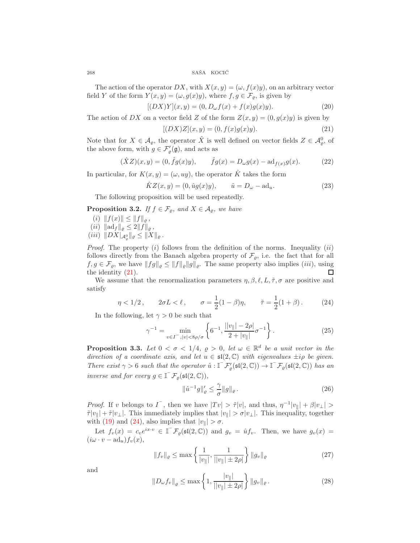The action of the operator DX, with  $X(x, y) = (\omega, f(x)y)$ , on an arbitrary vector field Y of the form  $Y(x, y) = (\omega, g(x)y)$ , where  $f, g \in \mathcal{F}_{\varrho}$ , is given by

$$
[(DX)Y](x,y) = (0, D_{\omega}f(x) + f(x)g(x)y).
$$
 (20)

The action of DX on a vector field Z of the form  $Z(x, y) = (0, g(x)y)$  is given by

<span id="page-7-0"></span>
$$
[(DX)Z](x,y) = (0, f(x)g(x)y).
$$
\n(21)

Note that for  $X \in \mathcal{A}_{\varrho}$ , the operator  $\hat{X}$  is well defined on vector fields  $Z \in \mathcal{A}_{\varrho}^0$ , of the above form, with  $g \in \mathcal{F}'_{\varrho}(\mathfrak{g})$ , and acts as

$$
(\hat{X}Z)(x,y) = (0, \hat{f}g(x)y), \qquad \hat{f}g(x) = D_{\omega}g(x) - \mathrm{ad}_{f(x)}g(x).
$$
 (22)

In particular, for  $K(x, y) = (\omega, uy)$ , the operator  $\hat{K}$  takes the form

$$
\hat{K}Z(x,y) = (0, \hat{u}g(x)y), \qquad \hat{u} = D_{\omega} - \text{ad}_u.
$$
\n(23)

The following proposition will be used repeatedly.

<span id="page-7-4"></span>**Proposition 3.2.** If  $f \in \mathcal{F}_{\varrho}$ , and  $X \in \mathcal{A}_{\varrho}$ , we have

- (i)  $||f(x)|| \leq ||f||_{\varrho}$ , (*ii*)  $\|\mathrm{ad}_f\|_{\varrho} \leq 2\|f\|_{\varrho}$ ,  $(iii)$   $\|DX|_{\mathcal{A}_{\varrho}^{0}}\|_{\varrho} \leq \|X\|_{\varrho}$ .
- *Proof.* The property  $(i)$  follows from the definition of the norms. Inequality  $(ii)$ follows directly from the Banach algebra property of  $\mathcal{F}_{\varrho}$ , i.e. the fact that for all  $f, g \in \mathcal{F}_{\varrho}$ , we have  $||fg||_{\varrho} \leq ||f||_{\varrho} ||g||_{\varrho}$ . The same property also implies (*iii*), using the identity [\(21\)](#page-7-0). П

We assume that the renormalization parameters  $\eta$ ,  $\beta$ ,  $\ell$ ,  $L$ ,  $\tilde{\tau}$ ,  $\sigma$  are positive and satisfy

<span id="page-7-1"></span>
$$
\eta < 1/2
$$
,  $2\sigma L < \ell$ ,  $\sigma = \frac{1}{2}(1-\beta)\eta$ ,  $\tilde{\tau} = \frac{1}{2}(1+\beta)$ . (24)

In the following, let  $\gamma > 0$  be such that

<span id="page-7-3"></span>
$$
\gamma^{-1} = \min_{v \in I^{-}, |v| < 8\rho/\sigma} \left\{ 6^{-1}, \frac{||v|| - 2\rho|}{2 + |v||} \sigma^{-1} \right\}.
$$
\n(25)

<span id="page-7-2"></span>**Proposition 3.3.** Let  $0 < \sigma < 1/4$ ,  $\varrho > 0$ , let  $\omega \in \mathbb{R}^d$  be a unit vector in the direction of a coordinate axis, and let  $u \in \mathfrak{sl}(2,\mathbb{C})$  with eigenvalues  $\pm i\rho$  be given. There exist  $\gamma > 6$  such that the operator  $\hat{u} : \mathbb{I}^{-} \mathcal{F}'_{\varrho}(\mathfrak{sl}(2,\mathbb{C})) \to \mathbb{I}^{-} \mathcal{F}_{\varrho}(\mathfrak{sl}(2,\mathbb{C}))$  has an inverse and for every  $g \in \mathbb{I}^-\mathcal{F}_{\varrho}(\mathfrak{sl}(2,\mathbb{C}))$ ,

$$
\|\hat{u}^{-1}g\|_{\varrho}' \le \frac{\gamma}{\sigma} \|g\|_{\varrho} \,. \tag{26}
$$

*Proof.* If v belongs to  $I^{\top}$ , then we have  $|Tv| > \tilde{\tau}|v|$ , and thus,  $\eta^{-1}|v_{\parallel}| + \beta |v_{\perp}| >$  $\tilde{\tau}|v_{\parallel}| + \tilde{\tau}|v_{\perp}|$ . This immediately implies that  $|v_{\parallel}| > \sigma |v_{\perp}|$ . This inequality, together with [\(19\)](#page-6-0) and [\(24\)](#page-7-1), also implies that  $|v_{\parallel}| > \sigma$ .

Let  $f_v(x) = c_v e^{ix \cdot v} \in \mathbb{I}^{\mathbb{T}} \mathcal{F}_{\varrho}(\mathfrak{sl}(2,\mathbb{C}))$  and  $g_v = \hat{u} f_v$ . Then, we have  $g_v(x) =$  $(i\omega \cdot v - ad_u)f_v(x),$ 

$$
||f_v||_{\varrho} \le \max\left\{\frac{1}{|v_{\parallel}|}, \frac{1}{||v_{\parallel}| \pm 2\rho|}\right\} ||g_v||_{\varrho}
$$
\n(27)

and

$$
||D_{\omega}f_v||_{\varrho} \le \max\left\{1, \frac{|v_{\parallel}|}{||v_{\parallel}| \pm 2\rho|}\right\} ||g_v||_{\varrho}.
$$
 (28)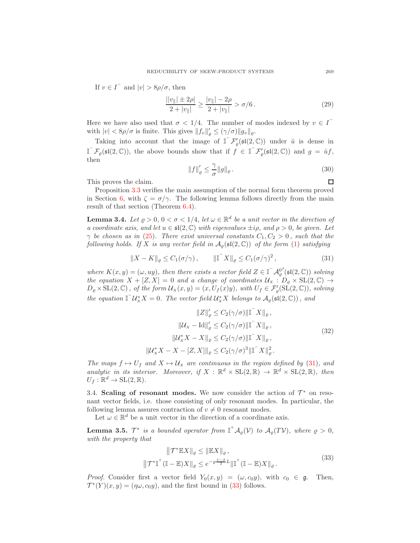If  $v \in I^-$  and  $|v| > 8\rho/\sigma$ , then

$$
\frac{||v_{\parallel}| \pm 2\rho|}{2 + |v_{\parallel}|} \ge \frac{|v_{\parallel}| - 2\rho}{2 + |v_{\parallel}|} > \sigma/6.
$$
 (29)

Here we have also used that  $\sigma < 1/4$ . The number of modes indexed by  $v \in I$ with  $|v| < 8\rho/\sigma$  is finite. This gives  $||f_v||'_{\varrho} \leq (\gamma/\sigma) ||g_v||_{\varrho}$ .

Taking into account that the image of  $\mathbb{I}^{-} \mathcal{F}'_{\varrho}(\mathfrak{sl}(2,\mathbb{C}))$  under  $\hat{u}$  is dense in  $\mathbb{I}^{\top}\mathcal{F}_{\varrho}(\mathfrak{sl}(2,\mathbb{C}))$ , the above bounds show that if  $\mathcal{F}_{\varrho} \in \mathbb{I}^{\top}\mathcal{F}'_{\varrho}(\mathfrak{sl}(2,\mathbb{C}))$  and  $g = \hat{u}f$ , then

$$
||f||_{\varrho}' \le \frac{\gamma}{\sigma} ||g||_{\varrho}.
$$
\n(30)

This proves the claim.

Proposition [3.3](#page-7-2) verifies the main assumption of the normal form theorem proved in Section [6,](#page-17-0) with  $\zeta = \sigma/\gamma$ . The following lemma follows directly from the main result of that section (Theorem [6.4\)](#page-20-0).

<span id="page-8-2"></span>**Lemma 3.4.** Let  $\varrho > 0$ ,  $0 < \sigma < 1/4$ , let  $\omega \in \mathbb{R}^d$  be a unit vector in the direction of a coordinate axis, and let  $u \in \mathfrak{sl}(2,\mathbb{C})$  with eigenvalues  $\pm i\rho$ , and  $\rho > 0$ , be given. Let  $\gamma$  be chosen as in [\(25\)](#page-7-3). There exist universal constants  $C_1, C_2 > 0$ , such that the following holds. If X is any vector field in  $\mathcal{A}_{\rho}(\mathfrak{sl}(2,\mathbb{C}))$  of the form [\(1\)](#page-0-2) satisfying

<span id="page-8-0"></span>
$$
||X - K||_{\varrho} \le C_1(\sigma/\gamma), \qquad ||\mathbb{I} \mathbb{I} \mathbb{I}||_{\varrho} \le C_1(\sigma/\gamma)^2, \qquad (31)
$$

where  $K(x, y) = (\omega, uy)$ , then there exists a vector field  $Z \in \mathbb{I}^{\mathbb{I}}\mathcal{A}_{\varrho}^{0}$  $\mathcal{I}(\mathfrak{sl}(2,\mathbb{C}))$  solving the equation  $X + [Z, X] = 0$  and a change of coordinates  $\mathcal{U}_X : D_{\varrho} \times SL(2, \mathbb{C}) \rightarrow$  $D_{\varrho} \times SL(2,\mathbb{C})$ , of the form  $\mathcal{U}_X(x,y) = (x, U_f(x)y)$ , with  $U_f \in \mathcal{F}'_{\varrho}(\mathrm{SL}(2,\mathbb{C}))$ , solving the equation  $\mathbb{I}^\top \mathcal{U}_X^* X = 0$ . The vector field  $\mathcal{U}_X^* X$  belongs to  $\mathcal{A}_\varrho(\mathfrak{sl}(2,\mathbb{C}))$ , and

$$
||Z||'_{\varrho} \le C_2(\gamma/\sigma) ||\mathbb{I}^{-} X||_{\varrho},
$$
  
\n
$$
||\mathcal{U}_X - \text{Id}||'_{\varrho} \le C_2(\gamma/\sigma) ||\mathbb{I}^{-} X||_{\varrho},
$$
  
\n
$$
||\mathcal{U}_X^* X - X||_{\varrho} \le C_2(\gamma/\sigma) ||\mathbb{I}^{-} X||_{\varrho},
$$
  
\n
$$
||\mathcal{U}_X^* X - X - [Z, X]||_{\varrho} \le C_2(\gamma/\sigma)^3 ||\mathbb{I}^{-} X||_{\varrho}^2.
$$
\n(32)

<span id="page-8-4"></span>The maps  $f \mapsto U_f$  and  $X \mapsto U_x$  are continuous in the region defined by [\(31\)](#page-8-0), and analytic in its interior. Moreover, if  $X : \mathbb{R}^d \times SL(2, \mathbb{R}) \to \mathbb{R}^d \times SL(2, \mathbb{R})$ , then  $U_f : \mathbb{R}^d \to \mathrm{SL}(2, \mathbb{R}).$ 

3.4. Scaling of resonant modes. We now consider the action of  $\mathcal{T}^*$  on resonant vector fields, i.e. those consisting of only resonant modes. In particular, the following lemma assures contraction of  $v \neq 0$  resonant modes.

Let  $\omega \in \mathbb{R}^d$  be a unit vector in the direction of a coordinate axis.

<span id="page-8-3"></span>**Lemma 3.5.**  $\mathcal{T}^*$  is a bounded operator from  $I^{\dagger} \mathcal{A}_{\varrho}(\mathcal{V})$  to  $\mathcal{A}_{\varrho}(T\mathcal{V})$ , where  $\varrho > 0$ , with the property that

$$
\|\mathcal{T}^* \mathbb{E} X\|_{\varrho} \le \|\mathbb{E} X\|_{\varrho},
$$
  

$$
\|\mathcal{T}^* \mathbb{I}^+(\mathbb{I} - \mathbb{E}) X\|_{\varrho} \le e^{-\varrho \frac{1-\beta}{2}L} \|\mathbb{I}^+(\mathbb{I} - \mathbb{E}) X\|_{\varrho}.
$$
 (33)

<span id="page-8-1"></span>*Proof.* Consider first a vector field  $Y_0(x, y) = (\omega, c_0y)$ , with  $c_0 \in \mathfrak{g}$ . Then,  $\mathcal{T}^*(Y)(x, y) = (\eta \omega, c_0 y)$ , and the first bound in [\(33\)](#page-8-1) follows.

 $\Box$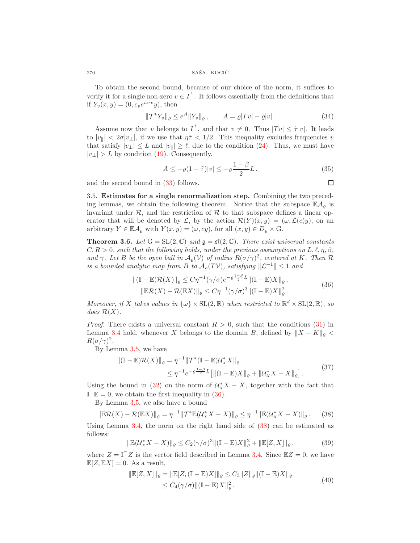$270$   $\,$  SAŠA  $\,$  KOCIĆ  $\,$ 

To obtain the second bound, because of our choice of the norm, it suffices to verify it for a single non-zero  $v \in I^+$ . It follows essentially from the definitions that if  $Y_v(x, y) = (0, c_v e^{ix \cdot v} y)$ , then

$$
\|\mathcal{T}^*Y_v\|_{\varrho} \le e^A \|Y_v\|_{\varrho}, \qquad A = \varrho |Tv| - \varrho |v|.
$$
 (34)

Assume now that v belongs to  $I^+$ , and that  $v \neq 0$ . Thus  $|Tv| \leq \tilde{\tau}|v|$ . It leads to  $|v_{\parallel}| < 2\sigma |v_{\perp}|$ , if we use that  $\eta \tilde{\tau} < 1/2$ . This inequality excludes frequencies v that satisfy  $|v_\perp| \leq L$  and  $|v_\parallel| \geq \ell$ , due to the condition [\(24\)](#page-7-1). Thus, we must have  $|v_\perp| > L$  by condition [\(19\)](#page-6-0). Consequently,

$$
A \le -\varrho (1 - \tilde{\tau}) |v| \le -\varrho \frac{1 - \beta}{2} L, \tag{35}
$$

and the second bound in [\(33\)](#page-8-1) follows.

3.5. Estimates for a single renormalization step. Combining the two preceding lemmas, we obtain the following theorem. Notice that the subspace  $\mathbb{E} \mathcal{A}_{\varrho}$  is invariant under  $\mathcal{R}$ , and the restriction of  $\mathcal{R}$  to that subspace defines a linear operator that will be denoted by  $\mathcal{L}$ , by the action  $\mathcal{R}(Y)(x, y) = (\omega, \mathcal{L}(c)y)$ , on an arbitrary  $Y \in \mathbb{E} \mathcal{A}_{\varrho}$  with  $Y(x, y) = (\omega, cy)$ , for all  $(x, y) \in D_{\varrho} \times G$ .

<span id="page-9-2"></span>**Theorem 3.6.** Let  $G = SL(2, \mathbb{C})$  and  $\mathfrak{g} = \mathfrak{sl}(2, \mathbb{C})$ . There exist universal constants  $C, R > 0$ , such that the following holds, under the previous assumptions on  $L, \ell, \eta, \beta$ , and  $\gamma$ . Let B be the open ball in  $\mathcal{A}_{\varrho}(\mathcal{V})$  of radius  $R(\sigma/\gamma)^2$ , centered at K. Then  $\mathcal R$ is a bounded analytic map from B to  $\mathcal{A}_{\rho}(T\mathcal{V})$ , satisfying  $\Vert \mathcal{L}^{-1} \Vert \leq 1$  and

$$
\begin{aligned} \|\left(\mathbb{I} - \mathbb{E}\right)\mathcal{R}(X)\|_{\varrho} &\leq C\eta^{-1}(\gamma/\sigma)e^{-\varrho\frac{1-\beta}{2}L}\|\left(\mathbb{I} - \mathbb{E}\right)X\|_{\varrho}, \\ \|\mathbb{E}\mathcal{R}(X) - \mathcal{R}(\mathbb{E}X)\|_{\varrho} &\leq C\eta^{-1}(\gamma/\sigma)^{3}\|\left(\mathbb{I} - \mathbb{E}\right)X\|_{\varrho}^{2}. \end{aligned} \tag{36}
$$

<span id="page-9-0"></span>Moreover, if X takes values in  $\{\omega\} \times SL(2,\mathbb{R})$  when restricted to  $\mathbb{R}^d \times SL(2,\mathbb{R})$ , so does  $\mathcal{R}(X)$ .

*Proof.* There exists a universal constant  $R > 0$ , such that the conditions [\(31\)](#page-8-0) in Lemma [3.4](#page-8-2) hold, whenever X belongs to the domain B, defined by  $||X - K||_{\rho}$  $R(\sigma/\gamma)^2$ .

By Lemma [3.5,](#page-8-3) we have

$$
\| (\mathbb{I} - \mathbb{E}) \mathcal{R}(X) \|_{\varrho} = \eta^{-1} \| \mathcal{T}^* (\mathbb{I} - \mathbb{E}) \mathcal{U}_X^* X \|_{\varrho} \leq \eta^{-1} e^{-\varrho \frac{1-\beta}{2} L} [\| (\mathbb{I} - \mathbb{E}) X \|_{\varrho} + \| \mathcal{U}_X^* X - X \|_{\varrho}].
$$
\n(37)

Using the bound in [\(32\)](#page-8-4) on the norm of  $\mathcal{U}_X^* X - X$ , together with the fact that  $\mathbb{I}^{\top} \mathbb{E} = 0$ , we obtain the first inequality in [\(36\)](#page-9-0).

By Lemma [3.5,](#page-8-3) we also have a bound

<span id="page-9-1"></span>
$$
\|\mathbb{E}\mathcal{R}(X) - \mathcal{R}(\mathbb{E}X)\|_{\varrho} = \eta^{-1} \|\mathcal{T}^*\mathbb{E}(\mathcal{U}^*_X X - X)\|_{\varrho} \le \eta^{-1} \|\mathbb{E}(\mathcal{U}^*_X X - X)\|_{\varrho}.
$$
 (38)

Using Lemma  $3.4$ , the norm on the right hand side of  $(38)$  can be estimated as follows:

$$
\|\mathbb{E}(\mathcal{U}_X^* X - X)\|_{\varrho} \le C_2 (\gamma/\sigma)^3 \|\|\mathbb{I} - \mathbb{E})X\|_{\varrho}^2 + \|\mathbb{E}[Z, X]\|_{\varrho},\tag{39}
$$

where  $Z = \mathbb{I}^\top Z$  is the vector field described in Lemma [3.4.](#page-8-2) Since  $\mathbb{E}Z = 0$ , we have  $\mathbb{E}[Z, \mathbb{E}X] = 0$ . As a result,

$$
\begin{aligned} \|\mathbb{E}[Z, X]\|_{\varrho} &= \|\mathbb{E}[Z, (\mathbb{I} - \mathbb{E})X] \|_{\varrho} \le C_3 \|Z\|_{\varrho} \|(\mathbb{I} - \mathbb{E})X\|_{\varrho} \\ &\le C_4(\gamma/\sigma) \|(\mathbb{I} - \mathbb{E})X\|_{\varrho}^2. \end{aligned} \tag{40}
$$

 $\Box$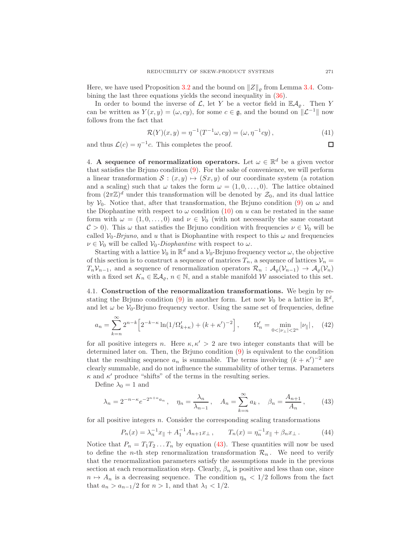Here, we have used Proposition [3.2](#page-7-4) and the bound on  $||Z||_{\rho}$  from Lemma [3.4.](#page-8-2) Combining the last three equations yields the second inequality in [\(36\)](#page-9-0).

In order to bound the inverse of  $\mathcal{L}$ , let Y be a vector field in  $\mathbb{E}\mathcal{A}_{\rho}$ . Then Y can be written as  $Y(x, y) = (\omega, cy)$ , for some  $c \in \mathfrak{g}$ , and the bound on  $\Vert \mathcal{L}^{-1} \Vert$  now follows from the fact that

$$
\mathcal{R}(Y)(x, y) = \eta^{-1}(T^{-1}\omega, cy) = (\omega, \eta^{-1}cy), \qquad (41)
$$

and thus  $\mathcal{L}(c) = \eta^{-1}c$ . This completes the proof.

<span id="page-10-0"></span>4. A sequence of renormalization operators. Let  $\omega \in \mathbb{R}^d$  be a given vector that satisfies the Brjuno condition [\(9\)](#page-2-1). For the sake of convenience, we will perform a linear transformation  $S : (x, y) \mapsto (Sx, y)$  of our coordinate system (a rotation and a scaling) such that  $\omega$  takes the form  $\omega = (1, 0, \ldots, 0)$ . The lattice obtained from  $(2\pi\mathbb{Z})^d$  under this transformation will be denoted by  $\mathcal{Z}_0$ , and its dual lattice by  $V_0$ . Notice that, after that transformation, the Brjuno condition [\(9\)](#page-2-1) on  $\omega$  and the Diophantine with respect to  $\omega$  condition [\(10\)](#page-2-2) on u can be restated in the same form with  $\omega = (1, 0, \ldots, 0)$  and  $\nu \in V_0$  (with not necessarily the same constant  $\mathcal{C} > 0$ ). This  $\omega$  that satisfies the Brjuno condition with frequencies  $\nu \in \mathcal{V}_0$  will be called  $V_0$ -Brjuno, and u that is Diophantine with respect to this  $\omega$  and frequencies  $\nu \in V_0$  will be called  $V_0$ -Diophantine with respect to  $\omega$ .

Starting with a lattice  $V_0$  in  $\mathbb{R}^d$  and a  $V_0$ -Brjuno frequency vector  $\omega$ , the objective of this section is to construct a sequence of matrices  $T_n$ , a sequence of lattices  $\mathcal{V}_n =$  $T_nV_{n-1}$ , and a sequence of renormalization operators  $\mathcal{R}_n$  :  $\mathcal{A}_{\rho}(\mathcal{V}_{n-1}) \to \mathcal{A}_{\rho}(\mathcal{V}_n)$ with a fixed set  $K_n \in \mathbb{E} \mathcal{A}_{\rho}, n \in \mathbb{N}$ , and a stable manifold W associated to this set.

<span id="page-10-1"></span>4.1. Construction of the renormalization transformations. We begin by re-stating the Brjuno condition [\(9\)](#page-2-1) in another form. Let now  $\mathcal{V}_0$  be a lattice in  $\mathbb{R}^d$ , and let  $\omega$  be  $V_0$ -Brjuno frequency vector. Using the same set of frequencies, define

<span id="page-10-3"></span>
$$
a_n = \sum_{k=n}^{\infty} 2^{n-k} \left[ 2^{-k-\kappa} \ln(1/\Omega_{k+\kappa}') + (k+\kappa')^{-2} \right], \qquad \Omega_n' = \min_{0 < |\nu_\perp| < 2^n} |\nu_\parallel| \,, \tag{42}
$$

for all positive integers n. Here  $\kappa, \kappa' > 2$  are two integer constants that will be determined later on. Then, the Brjuno condition [\(9\)](#page-2-1) is equivalent to the condition that the resulting sequence  $a_n$  is summable. The terms involving  $(k + \kappa')^{-2}$  are clearly summable, and do not influence the summability of other terms. Parameters  $\kappa$  and  $\kappa'$  produce "shifts" of the terms in the resulting series.

Define  $\lambda_0 = 1$  and

<span id="page-10-2"></span>
$$
\lambda_n = 2^{-n-\kappa} e^{-2^{n+\kappa} a_n}, \quad \eta_n = \frac{\lambda_n}{\lambda_{n-1}}, \quad A_n = \sum_{k=n}^{\infty} a_k, \quad \beta_n = \frac{A_{n+1}}{A_n},
$$
\n(43)

for all positive integers  $n$ . Consider the corresponding scaling transformations

$$
P_n(x) = \lambda_n^{-1} x_{\parallel} + A_1^{-1} A_{n+1} x_{\perp}, \qquad T_n(x) = \eta_n^{-1} x_{\parallel} + \beta_n x_{\perp}.
$$
 (44)

Notice that  $P_n = T_1 T_2 ... T_n$  by equation [\(43\)](#page-10-2). These quantities will now be used to define the *n*-th step renormalization transformation  $\mathcal{R}_n$ . We need to verify that the renormalization parameters satisfy the assumptions made in the previous section at each renormalization step. Clearly,  $\beta_n$  is positive and less than one, since  $n \mapsto A_n$  is a decreasing sequence. The condition  $\eta_n < 1/2$  follows from the fact that  $a_n > a_{n-1}/2$  for  $n > 1$ , and that  $\lambda_1 < 1/2$ .

 $\Box$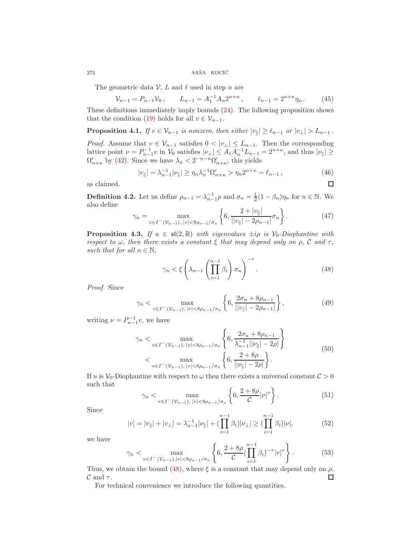$272$   $\,$  SAŠA  $\,$  KOCIĆ  $\,$ 

The geometric data  $\mathcal{V}, L$  and  $\ell$  used in step n are

$$
\mathcal{V}_{n-1} = P_{n-1} \mathcal{V}_0, \qquad L_{n-1} = A_1^{-1} A_n 2^{n+\kappa}, \qquad \ell_{n-1} = 2^{n+\kappa} \eta_n. \tag{45}
$$

These definitions immediately imply bounds [\(24\)](#page-7-1). The following proposition shows that the condition [\(19\)](#page-6-0) holds for all  $v \in V_{n-1}$ .

**Proposition 4.1.** If  $v \in V_{n-1}$  is nonzero, then either  $|v_{\parallel}| \geq \ell_{n-1}$  or  $|v_{\perp}| > L_{n-1}$ .

*Proof.* Assume that  $v \in V_{n-1}$  satisfies  $0 < |v_\perp| \le L_{n-1}$ . Then the corresponding lattice point  $\nu = P_{n-1}^{-1} v$  in  $\mathcal{V}_0$  satisfies  $|\nu_{\perp}| \leq A_1 A_n^{-1} L_{n-1} = 2^{n+\kappa}$ , and thus  $|\nu_{\parallel}| \geq$  $\Omega_{n+\kappa}'$  by [\(42\)](#page-10-3). Since we have  $\lambda_n < 2^{-n-\kappa}\Omega_{n+\kappa}'$ , this yields

$$
|v_{\parallel}| = \lambda_{n-1}^{-1} |v_{\parallel}| \ge \eta_n \lambda_n^{-1} \Omega_{n+\kappa}' > \eta_n 2^{n+\kappa} = \ell_{n-1},
$$
\n(46)

as claimed.

**Definition 4.2.** Let us define  $\rho_{n-1} = \lambda_{n-1}^{-1} \rho$  and  $\sigma_n = \frac{1}{2}(1 - \beta_n)\eta_n$  for  $n \in \mathbb{N}$ . We also define

$$
\gamma_n = \max_{v \in I^-(\mathcal{V}_{n-1}), \, |v| < 8\rho_{n-1}/\sigma_n} \left\{ 6, \frac{2 + |v_{\parallel}|}{||v_{\parallel}| - 2\rho_{n-1}|} \sigma_n \right\}.
$$
\n(47)

<span id="page-11-1"></span>**Proposition 4.3.** If  $u \in \mathfrak{sl}(2,\mathbb{R})$  with eigenvalues  $\pm i\rho$  is  $V_0$ -Diophantine with respect to  $\omega$ , then there exists a constant  $\xi$  that may depend only on  $\rho$ , C and  $\tau$ , such that for all  $n \in \mathbb{N}$ ,

<span id="page-11-0"></span>
$$
\gamma_n < \xi \left( \lambda_{n-1} \left( \prod_{i=1}^{n-1} \beta_i \right) \sigma_n \right)^{-\tau} . \tag{48}
$$

Proof. Since

$$
\gamma_n < \max_{v \in I^-(\mathcal{V}_{n-1}), \ |v| < 8\rho_{n-1}/\sigma_n} \left\{ 6, \frac{2\sigma_n + 8\rho_{n-1}}{\|v\| - 2\rho_{n-1}} \right\},\tag{49}
$$

writing  $\nu = P_{n-1}^{-1}v$ , we have

$$
\gamma_n < \max_{v \in I^-(\mathcal{V}_{n-1}), \, |v| < 8\rho_{n-1}/\sigma_n} \left\{ 6, \frac{2\sigma_n + 8\rho_{n-1}}{\lambda_{n-1}^{-1} ||\nu|| - 2\rho|} \right\} \\
&< \max_{v \in I^-(\mathcal{V}_{n-1}), \, |v| < 8\rho_{n-1}/\sigma_n} \left\{ 6, \frac{2 + 8\rho}{||\nu|| - 2\rho|} \right\}.
$$
\n
$$
(50)
$$

If u is  $\mathcal{V}_0$ -Diophantine with respect to  $\omega$  then there exists a universal constant  $\mathcal{C} > 0$ such that  $\overline{a}$ 

$$
\gamma_n < \max_{v \in I^-(\mathcal{V}_{n-1}), \, |v| < 8\rho_{n-1}/\sigma_n} \left\{ 6, \frac{2+8\rho}{\mathcal{C}} |v|^\tau \right\} . \tag{51}
$$

Since

$$
|v| = |v_{\parallel}| + |v_{\perp}| = \lambda_{n-1}^{-1} |v_{\parallel}| + (\prod_{i=1}^{n-1} \beta_i) |v_{\perp}| \ge (\prod_{i=1}^{n-1} \beta_i) |v|,
$$
(52)

we have

$$
\gamma_n < \max_{v \in I^-(\mathcal{V}_{n-1}), |v| < 8\rho_{n-1}/\sigma_n} \left\{ 6, \frac{2 + 8\rho}{\mathcal{C}} \left( \prod_{i=1}^{n-1} \beta_i \right)^{-\tau} |v|^\tau \right\}.
$$
\n(53)

Thus, we obtain the bound [\(48\)](#page-11-0), where  $\xi$  is a constant that may depend only on  $\rho$ ,  $\mathcal C$  and  $\tau$ . □

For technical convenience we introduce the following quantities.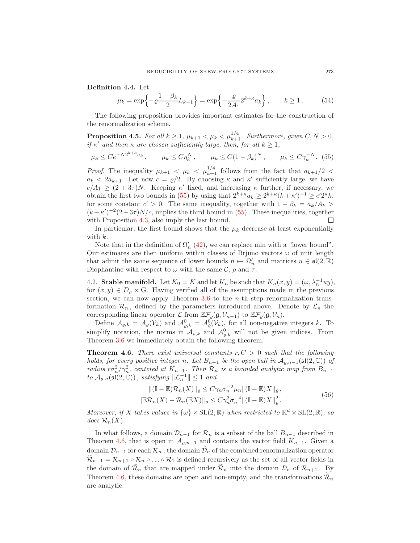Definition 4.4. Let

$$
\mu_k = \exp\left\{-\varrho \frac{1 - \beta_k}{2} L_{k-1}\right\} = \exp\left\{-\frac{\varrho}{2A_1} 2^{k+\kappa} a_k\right\}, \qquad k \ge 1. \tag{54}
$$

The following proposition provides important estimates for the construction of the renormalization scheme.

<span id="page-12-2"></span>**Proposition 4.5.** For all  $k \geq 1$ ,  $\mu_{k+1} < \mu_k < \mu_{k+1}^{1/4}$ . Furthermore, given  $C, N > 0$ , if  $\kappa'$  and then  $\kappa$  are chosen sufficiently large, then, for all  $k \geq 1$ ,

<span id="page-12-0"></span>
$$
\mu_k \leq Ce^{-N2^{k+\kappa}a_k}
$$
,  $\mu_k \leq C\eta_k^N$ ,  $\mu_k \leq C(1-\beta_k)^N$ ,  $\mu_k \leq C\gamma_k^{-N}$ . (55)

*Proof.* The inequality  $\mu_{k+1} < \mu_k < \mu_{k+1}^{1/4}$  follows from the fact that  $a_{k+1}/2 <$  $a_k < 2a_{k+1}$ . Let now  $c = \rho/2$ . By choosing  $\kappa$  and  $\kappa'$  sufficiently large, we have  $c/A_1 \geq (2+3\tau)N$ . Keeping  $\kappa'$  fixed, and increasing  $\kappa$  further, if necessary, we obtain the first two bounds in [\(55\)](#page-12-0) by using that  $2^{k+\kappa}a_k \geq 2^{k+\kappa}(k+\kappa')^{-1} \geq c'2^{\kappa}k$ , for some constant  $c' > 0$ . The same inequality, together with  $1 - \beta_k = a_k/A_k >$  $(k+\kappa')^{-2}(2+3\tau)N/c$ , implies the third bound in [\(55\)](#page-12-0). These inequalities, together with Proposition [4.3,](#page-11-1) also imply the last bound. □

In particular, the first bound shows that the  $\mu_k$  decrease at least exponentially with  $k$ .

Note that in the definition of  $\Omega'_n$  [\(42\)](#page-10-3), we can replace min with a "lower bound". Our estimates are then uniform within classes of Brjuno vectors  $\omega$  of unit length that admit the same sequence of lower bounds  $n \mapsto \Omega'_n$  and matrices  $u \in \mathfrak{sl}(2,\mathbb{R})$ Diophantine with respect to  $\omega$  with the same  $\mathcal{C}$ ,  $\rho$  and  $\tau$ .

<span id="page-12-3"></span>4.2. **Stable manifold.** Let  $K_0 = K$  and let  $K_n$  be such that  $K_n(x, y) = (\omega, \lambda_n^{-1}uy)$ , for  $(x, y) \in D_{\varrho} \times G$ . Having verified all of the assumptions made in the previous section, we can now apply Theorem [3.6](#page-9-2) to the *n*-th step renormalization transformation  $\mathcal{R}_n$ , defined by the parameters introduced above. Denote by  $\mathcal{L}_n$  the corresponding linear operator  $\mathcal L$  from  $\mathbb E\mathcal F_\varrho(\mathfrak g,\mathcal V_{n-1})$  to  $\mathbb E\mathcal F_\varrho(\mathfrak g,\mathcal V_n)$ .

Define  $\mathcal{A}_{\varrho,k} = \mathcal{A}_{\varrho}(\mathcal{V}_k)$  and  $\mathcal{A}_{\varrho,k}^0 = \mathcal{A}_{\varrho}^0(\mathcal{V}_k)$ , for all non-negative integers k. To simplify notation, the norms in  $\mathcal{A}_{\varrho,k}$  and  $\mathcal{A}_{\varrho,k}^0$  will not be given indices. From Theorem [3.6](#page-9-2) we immediately obtain the following theorem.

<span id="page-12-1"></span>**Theorem 4.6.** There exist universal constants  $r, C > 0$  such that the following holds, for every positive integer n. Let  $B_{n-1}$  be the open ball in  $\mathcal{A}_{\rho,n-1}(\mathfrak{sl}(2,\mathbb{C}))$  of radius  $r\sigma_n^2/\gamma_n^2$ , centered at  $K_{n-1}$ . Then  $\mathcal{R}_n$  is a bounded analytic map from  $B_{n-1}$ to  $\mathcal{A}_{\varrho,n}(\mathfrak{sl}(2,\mathbb{C}))$ , satisfying  $\|\mathcal{L}_n^{-1}\| \leq 1$  and

$$
\begin{aligned} ||(\mathbb{I} - \mathbb{E})\mathcal{R}_n(X)||_{\varrho} &\leq C\gamma_n \sigma_n^{-2} \mu_n ||(\mathbb{I} - \mathbb{E})X||_{\varrho}, \\ ||\mathbb{E}\mathcal{R}_n(X) - \mathcal{R}_n(\mathbb{E}X)||_{\varrho} &\leq C\gamma_n^3 \sigma_n^{-4} ||(\mathbb{I} - \mathbb{E})X||_{\varrho}^2. \end{aligned} \tag{56}
$$

Moreover, if X takes values in  $\{\omega\} \times SL(2,\mathbb{R})$  when restricted to  $\mathbb{R}^d \times SL(2,\mathbb{R})$ , so does  $\mathcal{R}_n(X)$ .

In what follows, a domain  $\mathcal{D}_{n-1}$  for  $\mathcal{R}_n$  is a subset of the ball  $B_{n-1}$  described in Theorem [4.6,](#page-12-1) that is open in  $\mathcal{A}_{\rho,n-1}$  and contains the vector field  $K_{n-1}$ . Given a domain  $\mathcal{D}_{n-1}$  for each  $\mathcal{R}_n$ , the domain  $\mathcal{D}_n$  of the combined renormalization operator  $\mathcal{R}_{n+1} = \mathcal{R}_{n+1} \circ \mathcal{R}_n \circ \dots \circ \mathcal{R}_1$  is defined recursively as the set of all vector fields in the domain of  $\mathcal{R}_n$  that are mapped under  $\mathcal{R}_n$  into the domain  $\mathcal{D}_n$  of  $\mathcal{R}_{n+1}$ . By Theorem [4.6,](#page-12-1) these domains are open and non-empty, and the transformations  $\mathcal{R}_n$ are analytic.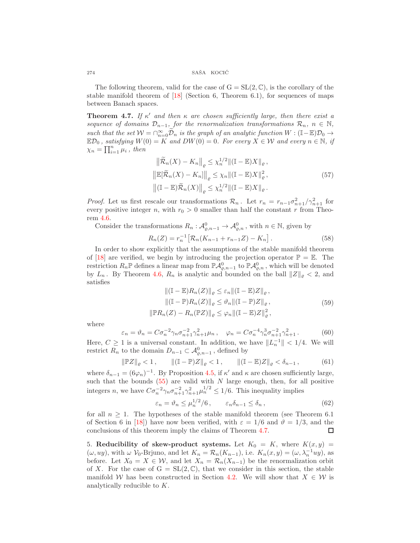The following theorem, valid for the case of  $G = SL(2, \mathbb{C})$ , is the corollary of the stable manifold theorem of  $[18]$  (Section 6, Theorem 6.1), for sequences of maps between Banach spaces.

<span id="page-13-1"></span>**Theorem 4.7.** If  $\kappa'$  and then  $\kappa$  are chosen sufficiently large, then there exist a sequence of domains  $\mathcal{D}_{n-1}$ , for the renormalization transformations  $\mathcal{R}_n$ ,  $n \in \mathbb{N}$ , such that the set  $W = \bigcap_{n=0}^{\infty} \widetilde{\mathcal{D}}_n$  is the graph of an analytic function  $W : (\mathbb{I} - \mathbb{E})\mathcal{D}_0 \to$  $\mathbb{E}\mathcal{D}_0$ , satisfying  $W(0) = K$  and  $DW(0) = 0$ . For every  $X \in \mathcal{W}$  and every  $n \in \mathbb{N}$ , if  $\chi_n = \prod_{i=1}^n \mu_i$ , then

$$
\left\| \tilde{\mathcal{R}}_n(X) - K_n \right\|_{\varrho} \le \chi_n^{1/2} \| (\mathbb{I} - \mathbb{E}) X \|_{\varrho},
$$
  

$$
\left\| \mathbb{E}[\tilde{\mathcal{R}}_n(X) - K_n] \right\|_{\varrho} \le \chi_n \| (\mathbb{I} - \mathbb{E}) X \|_{\varrho}^2,
$$
  

$$
\left\| (\mathbb{I} - \mathbb{E}) \tilde{\mathcal{R}}_n(X) \right\|_{\varrho} \le \chi_n^{1/2} \| (\mathbb{I} - \mathbb{E}) X \|_{\varrho}.
$$
 (57)

*Proof.* Let us first rescale our transformations  $\mathcal{R}_n$ . Let  $r_n = r_{n-1}\sigma_{n+1}^2/\gamma_{n+1}^2$  for every positive integer n, with  $r_0 > 0$  smaller than half the constant r from Theorem [4.6.](#page-12-1)

Consider the transformations  $R_n: \mathcal{A}_{\varrho,n-1}^0 \to \mathcal{A}_{\varrho,n}^0$ , with  $n \in \mathbb{N}$ , given by

$$
R_n(Z) = r_n^{-1} \left[ \mathcal{R}_n(K_{n-1} + r_{n-1}Z) - K_n \right]. \tag{58}
$$

In order to show explicitly that the assumptions of the stable manifold theorem of [\[18\]](#page-22-14) are verified, we begin by introducing the projection operator  $\mathbb{P} = \mathbb{E}$ . The restriction  $R_n\mathbb{P}$  defines a linear map from  $\mathbb{P} \mathcal{A}_{\varrho,n-1}^0$  to  $\mathbb{P} \mathcal{A}_{\varrho,n}^0$ , which will be denoted by  $L_n$ . By Theorem [4.6,](#page-12-1)  $R_n$  is analytic and bounded on the ball  $||Z||_e < 2$ , and satisfies

$$
\begin{aligned}\n\|(\mathbb{I} - \mathbb{E})R_n(Z)\|_{\varrho} &\leq \varepsilon_n \|( \mathbb{I} - \mathbb{E})Z\|_{\varrho} \,, \\
\|(\mathbb{I} - \mathbb{P})R_n(Z)\|_{\varrho} &\leq \vartheta_n \|( \mathbb{I} - \mathbb{P})Z\|_{\varrho} \,, \\
\|\mathbb{P}R_n(Z) - R_n(\mathbb{P}Z)\|_{\varrho} &\leq \varphi_n \|( \mathbb{I} - \mathbb{E})Z\|_{\varrho}^2 \,,\n\end{aligned} \tag{59}
$$

where

$$
\varepsilon_n = \vartheta_n = C \sigma_n^{-2} \gamma_n \sigma_{n+1}^{-2} \gamma_{n+1}^2 \mu_n, \quad \varphi_n = C \sigma_n^{-4} \gamma_n^3 \sigma_{n+1}^{-2} \gamma_{n+1}^2. \tag{60}
$$

Here,  $C \geq 1$  is a universal constant. In addition, we have  $||L_n^{-1}|| < 1/4$ . We will restrict  $R_n$  to the domain  $D_{n-1} \subset \mathcal{A}_{\varrho,n-1}^0$ , defined by

$$
\|\mathbb{P}Z\|_{\varrho} < 1, \qquad \|(I - \mathbb{P})Z\|_{\varrho} < 1, \qquad \|(I - \mathbb{E})Z\|_{\varrho} < \delta_{n-1}, \tag{61}
$$

where  $\delta_{n-1} = (6\varphi_n)^{-1}$ . By Proposition [4.5,](#page-12-2) if  $\kappa'$  and  $\kappa$  are chosen sufficiently large, such that the bounds  $(55)$  are valid with N large enough, then, for all positive integers *n*, we have  $C\sigma_n^{-2}\gamma_n\sigma_{n+1}^{-2}\gamma_{n+1}^2\mu_n^{1/2} \leq 1/6$ . This inequality implies

$$
\varepsilon_n = \vartheta_n \le \mu_n^{1/2} / 6 \,, \qquad \varepsilon_n \delta_{n-1} \le \delta_n \,, \tag{62}
$$

for all  $n \geq 1$ . The hypotheses of the stable manifold theorem (see Theorem 6.1) of Section 6 in [\[18\]](#page-22-14)) have now been verified, with  $\varepsilon = 1/6$  and  $\vartheta = 1/3$ , and the conclusions of this theorem imply the claims of Theorem [4.7.](#page-13-1) □

<span id="page-13-0"></span>5. Reducibility of skew-product systems. Let  $K_0 = K$ , where  $K(x, y) =$  $(\omega, uy)$ , with  $\omega \mathcal{V}_0$ -Brjuno, and let  $K_n = \mathcal{R}_n(K_{n-1})$ , i.e.  $K_n(x, y) = (\omega, \lambda_n^{-1}uy)$ , as before. Let  $X_0 = X \in \mathcal{W}$ , and let  $X_n = \mathcal{R}_n(X_{n-1})$  be the renormalization orbit of X. For the case of  $G = SL(2, \mathbb{C})$ , that we consider in this section, the stable manifold W has been constructed in Section [4.2.](#page-12-3) We will show that  $X \in \mathcal{W}$  is analytically reducible to K.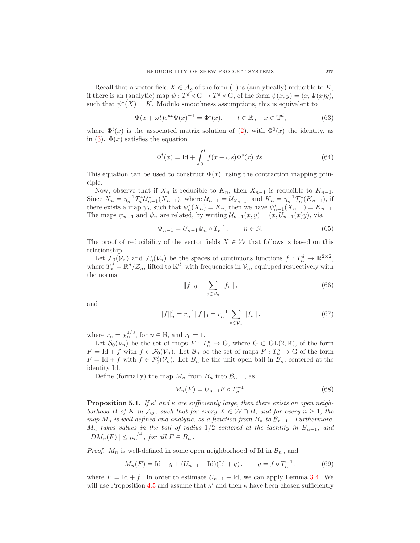Recall that a vector field  $X \in \mathcal{A}_{\rho}$  of the form [\(1\)](#page-0-2) is (analytically) reducible to K, if there is an (analytic) map  $\psi : T^d \times G \to T^d \times G$ , of the form  $\psi(x, y) = (x, \Psi(x)y)$ , such that  $\psi^*(X) = K$ . Modulo smoothness assumptions, this is equivalent to

<span id="page-14-4"></span>
$$
\Psi(x + \omega t)e^{ut}\Psi(x)^{-1} = \Phi^t(x), \qquad t \in \mathbb{R}, \quad x \in \mathbb{T}^d,
$$
\n(63)

where  $\Phi^t(x)$  is the associated matrix solution of [\(2\)](#page-0-1), with  $\Phi^0(x)$  the identity, as in [\(3\)](#page-0-4).  $\Phi(x)$  satisfies the equation

<span id="page-14-5"></span>
$$
\Phi^t(x) = \text{Id} + \int_0^t f(x + \omega s) \Phi^s(x) ds.
$$
\n(64)

This equation can be used to construct  $\Phi(x)$ , using the contraction mapping principle.

Now, observe that if  $X_n$  is reducible to  $K_n$ , then  $X_{n-1}$  is reducible to  $K_{n-1}$ . Since  $X_n = \eta_n^{-1} \mathcal{T}_n^* \mathcal{U}_{n-1}^* (X_{n-1}),$  where  $\mathcal{U}_{n-1} = \mathcal{U}_{X_{n-1}},$  and  $K_n = \eta_n^{-1} \mathcal{T}_n^* (K_{n-1}),$  if there exists a map  $\psi_n$  such that  $\psi_n^*(X_n) = K_n$ , then we have  $\psi_{n-1}^*(X_{n-1}) = K_{n-1}$ . The maps  $\psi_{n-1}$  and  $\psi_n$  are related, by writing  $\mathcal{U}_{n-1}(x,y) = (x, U_{n-1}(x)y)$ , via

<span id="page-14-1"></span>
$$
\Psi_{n-1} = U_{n-1} \Psi_n \circ T_n^{-1}, \qquad n \in \mathbb{N}.
$$
\n(65)

The proof of reducibility of the vector fields  $X \in \mathcal{W}$  that follows is based on this relationship.

Let  $\mathcal{F}_0(\mathcal{V}_n)$  and  $\mathcal{F}'_0(\mathcal{V}_n)$  be the spaces of continuous functions  $f: T_n^d \to \mathbb{R}^{2 \times 2}$ , where  $T_n^d = \mathbb{R}^d/\mathcal{Z}_n$ , lifted to  $\mathbb{R}^d$ , with frequencies in  $\mathcal{V}_n$ , equipped respectively with the norms

<span id="page-14-2"></span>
$$
||f||_0 = \sum_{v \in \mathcal{V}_n} ||f_v||, \qquad (66)
$$

and

<span id="page-14-3"></span>
$$
||f||'_{n} = r_{n}^{-1}||f||_{0} = r_{n}^{-1} \sum_{v \in \mathcal{V}_{n}} ||f_{v}||,
$$
\n(67)

where  $r_n = \chi_n^{\frac{1}{3}}$ , for  $n \in \mathbb{N}$ , and  $r_0 = 1$ .

Let  $\mathcal{B}_0(\mathcal{V}_n)$  be the set of maps  $F: T_n^d \to \mathbb{G}$ , where  $\mathbb{G} \subset \text{GL}(2,\mathbb{R})$ , of the form  $F = \text{Id} + f$  with  $f \in \mathcal{F}_0(\mathcal{V}_n)$ . Let  $\mathcal{B}_n$  be the set of maps  $F: T_n^d \to G$  of the form  $F = \text{Id} + f$  with  $f \in \mathcal{F}'_0(\mathcal{V}_n)$ . Let  $B_n$  be the unit open ball in  $\mathcal{B}_n$ , centered at the identity Id.

Define (formally) the map  $M_n$  from  $B_n$  into  $\mathcal{B}_{n-1}$ , as

$$
M_n(F) = U_{n-1}F \circ T_n^{-1}.
$$
\n(68)

<span id="page-14-0"></span>**Proposition 5.1.** If  $\kappa'$  and  $\kappa$  are sufficiently large, then there exists an open neighborhood B of K in  $\mathcal{A}_o$ , such that for every  $X \in \mathcal{W} \cap B$ , and for every  $n \geq 1$ , the map  $M_n$  is well defined and analytic, as a function from  $B_n$  to  $\mathcal{B}_{n-1}$ . Furthermore,  $M_n$  takes values in the ball of radius 1/2 centered at the identity in  $B_{n-1}$ , and  $||DM_n(F)|| \leq \mu_n^{1/4}$ , for all  $F \in B_n$ .

*Proof.*  $M_n$  is well-defined in some open neighborhood of Id in  $\mathcal{B}_n$ , and

$$
M_n(F) = \text{Id} + g + (U_{n-1} - \text{Id})(\text{Id} + g), \qquad g = f \circ T_n^{-1},
$$
 (69)

where  $F = \text{Id} + f$ . In order to estimate  $U_{n-1} - \text{Id}$ , we can apply Lemma [3.4.](#page-8-2) We will use Proposition [4.5](#page-12-2) and assume that  $\kappa'$  and then  $\kappa$  have been chosen sufficiently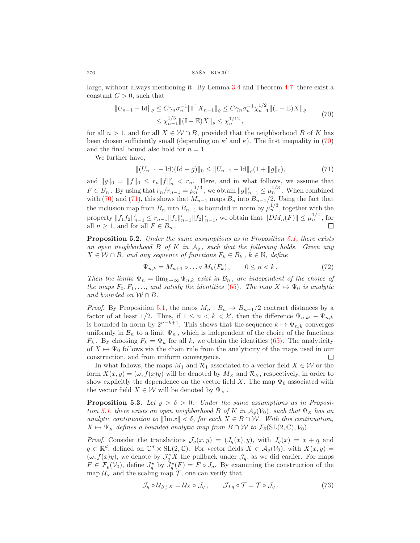large, without always mentioning it. By Lemma [3.4](#page-8-2) and Theorem [4.7,](#page-13-1) there exist a constant  $C > 0$ , such that

$$
||U_{n-1} - \text{Id}||_{\varrho} \leq C\gamma_n \sigma_n^{-1} ||\mathbb{I}^{-} X_{n-1}||_{\varrho} \leq C\gamma_n \sigma_n^{-1} \chi_{n-1}^{1/2} ||(\mathbb{I} - \mathbb{E})X||_{\varrho} \leq \chi_{n-1}^{1/3} ||(\mathbb{I} - \mathbb{E})X||_{\varrho} \leq \chi_n^{1/12},
$$
\n(70)

<span id="page-15-0"></span>for all  $n > 1$ , and for all  $X \in \mathcal{W} \cap B$ , provided that the neighborhood B of K has been chosen sufficiently small (depending on  $\kappa'$  and  $\kappa$ ). The first inequality in [\(70\)](#page-15-0) and the final bound also hold for  $n = 1$ .

We further have,

<span id="page-15-1"></span>
$$
||(U_{n-1} - \text{Id})(\text{Id} + g)||_0 \le ||U_{n-1} - \text{Id}||_2(1 + ||g||_0),
$$
\n(71)

and  $||g||_0 = ||f||_0 \le r_n ||f||'_n < r_n$ . Here, and in what follows, we assume that  $F \in B_n$ . By using that  $r_n/r_{n-1} = \mu_n^{1/3}$ , we obtain  $||g||'_{n-1} \leq \mu_n^{1/3}$ . When combined with [\(70\)](#page-15-0) and [\(71\)](#page-15-1), this shows that  $M_{n-1}$  maps  $B_n$  into  $B_{n-1}/2$ . Using the fact that the inclusion map from  $B_n$  into  $B_{n-1}$  is bounded in norm by  $\mu_n^{1/3}$ , together with the property  $||f_1f_2||'_{n-1} \leq r_{n-1}||f_1||'_{n-1}||f_2||'_{n-1}$ , we obtain that  $||DM_n(F)|| \leq \mu_n^{1/4}$ , for all  $n \geq 1$ , and for all  $F \in B_n$ . П

<span id="page-15-2"></span>**Proposition 5.2.** Under the same assumptions as in Proposition [5.1,](#page-14-0) there exists an open neighborhood B of K in  $A_{\rho}$ , such that the following holds. Given any  $X \in \mathcal{W} \cap B$ , and any sequence of functions  $F_k \in B_k$ ,  $k \in \mathbb{N}$ , define

$$
\Psi_{n,k} = M_{n+1} \circ \dots \circ M_k(F_k), \qquad 0 \le n < k. \tag{72}
$$

Then the limits  $\Psi_n = \lim_{k \to \infty} \Psi_{n,k}$  exist in  $\mathcal{B}_n$ , are independent of the choice of the maps  $F_0, F_1, \ldots$ , and satisfy the identities [\(65\)](#page-14-1). The map  $X \mapsto \Psi_0$  is analytic and bounded on  $W \cap B$ .

*Proof.* By Proposition [5.1,](#page-14-0) the maps  $M_n : B_n \to B_{n-1}/2$  contract distances by a factor of at least 1/2. Thus, if  $1 \leq n \leq k \leq k'$ , then the difference  $\Psi_{n,k'} - \Psi_{n,k'}$ is bounded in norm by  $2^{n-k+1}$ . This shows that the sequence  $k \mapsto \Psi_{n,k}$  converges uniformly in  $\mathcal{B}_n$  to a limit  $\Psi_n$ , which is independent of the choice of the functions  $F_k$ . By choosing  $F_k = \Psi_k$  for all k, we obtain the identities [\(65\)](#page-14-1). The analyticity of  $X \mapsto \Psi_0$  follows via the chain rule from the analyticity of the maps used in our construction, and from uniform convergence. П

In what follows, the maps  $M_1$  and  $\mathcal{R}_1$  associated to a vector field  $X \in \mathcal{W}$  or the form  $X(x, y) = (\omega, f(x)y)$  will be denoted by  $M_x$  and  $\mathcal{R}_x$ , respectively, in order to show explicitly the dependence on the vector field X. The map  $\Psi_0$  associated with the vector field  $X \in \mathcal{W}$  will be denoted by  $\Psi_X$ .

<span id="page-15-3"></span>**Proposition 5.3.** Let  $\rho > \delta > 0$ . Under the same assumptions as in Proposi-tion [5.1,](#page-14-0) there exists an open neighborhood B of K in  $A_{\rho}(\mathcal{V}_0)$ , such that  $\Psi_x$  has an analytic continuation to  $\|\text{Im }x\| < \delta$ , for each  $X \in B \cap \mathcal{W}$ . With this continuation,  $X \mapsto \Psi_X$  defines a bounded analytic map from  $B \cap W$  to  $\mathcal{F}_{\delta}(\mathrm{SL}(2,\mathbb{C}), \mathcal{V}_0)$ .

*Proof.* Consider the translations  $\mathcal{J}_q(x, y) = (J_q(x), y)$ , with  $J_q(x) = x + q$  and  $q \in \mathbb{R}^d$ , defined on  $\mathbb{C}^d \times SL(2,\mathbb{C})$ . For vector fields  $X \in \mathcal{A}_{\varrho}(\mathcal{V}_0)$ , with  $X(x,y) =$  $(\omega, f(x)y)$ , we denote by  $\mathcal{J}_q^* X$  the pullback under  $\mathcal{J}_q$ , as we did earlier. For maps  $F \in \mathcal{F}_\varrho(\mathcal{V}_0)$ , define  $J_q^*$  by  $J_q^*(F) = F \circ J_q$ . By examining the construction of the map  $U_x$  and the scaling map  $\mathcal T$ , one can verify that

$$
\mathcal{J}_q \circ \mathcal{U}_{\mathcal{J}_q^* X} = \mathcal{U}_X \circ \mathcal{J}_q, \qquad \mathcal{J}_{Tq} \circ \mathcal{T} = \mathcal{T} \circ \mathcal{J}_q. \tag{73}
$$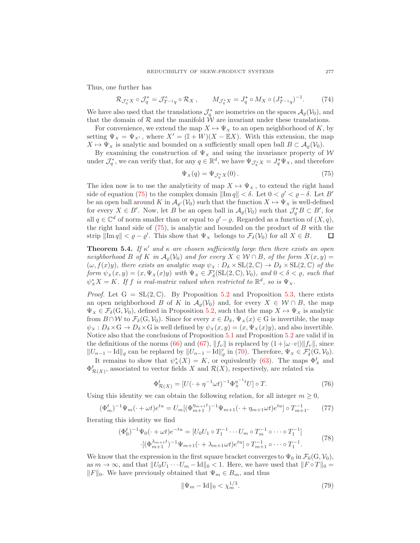Thus, one further has

$$
\mathcal{R}_{\mathcal{J}_q^* X} \circ \mathcal{J}_q^* = \mathcal{J}_{T^{-1} q}^* \circ \mathcal{R}_X, \qquad M_{\mathcal{J}_q^* X} = J_q^* \circ M_X \circ (J_{T^{-1} q}^*)^{-1}.
$$
 (74)

We have also used that the translations  $\mathcal{J}_q^*$  are isometries on the spaces  $\mathcal{A}_{\varrho}(\mathcal{V}_0)$ , and that the domain of  $R$  and the manifold  $\hat{W}$  are invariant under these translations.

For convenience, we extend the map  $X \mapsto \Psi_X$  to an open neighborhood of K, by setting  $\Psi_X = \Psi_{X'}$ , where  $X' = (\mathbb{I} + W)(X - \mathbb{E}X)$ . With this extension, the map  $X \mapsto \Psi_X$  is analytic and bounded on a sufficiently small open ball  $B \subset A_{\varrho}(\mathcal{V}_0)$ .

By examining the construction of  $\Psi_x$  and using the invariance property of W under  $\mathcal{J}_q^*$ , we can verify that, for any  $q \in \mathbb{R}^d$ , we have  $\Psi_{\mathcal{J}_q^*X} = J_q^* \Psi_X$ , and therefore

<span id="page-16-1"></span>
$$
\Psi_X(q) = \Psi_{\mathcal{J}_q^* X}(0). \tag{75}
$$

The idea now is to use the analyticity of map  $X \mapsto \Psi_X$ , to extend the right hand side of equation [\(75\)](#page-16-1) to the complex domain  $\|\text{Im } q\| < \delta$ . Let  $0 < \varrho' < \varrho - \delta$ . Let B' be an open ball around K in  $\mathcal{A}_{\varrho'}(\mathcal{V}_0)$  such that the function  $X \mapsto \Psi_X$  is well-defined for every  $X \in B'$ . Now, let B be an open ball in  $\mathcal{A}_{\varrho}(\mathcal{V}_0)$  such that  $\mathcal{J}_q^*B \subset B'$ , for all  $q \in \mathbb{C}^d$  of norm smaller than or equal to  $\varrho' - \varrho$ . Regarded as a function of  $(X, q)$ , the right hand side of  $(75)$ , is analytic and bounded on the product of  $B$  with the strip  $\|\text{Im } q\| < \varrho - \varrho'$ . This show that  $\Psi_X$  belongs to  $\mathcal{F}_\delta(\mathcal{V}_0)$  for all  $X \in B$ . □

<span id="page-16-0"></span>**Theorem 5.4.** If  $\kappa'$  and  $\kappa$  are chosen sufficiently large then there exists an open neighborhood B of K in  $\mathcal{A}_o(\mathcal{V}_0)$  and for every  $X \in \mathcal{W} \cap B$ , of the form  $X(x, y) =$  $(\omega, f(x)y)$ , there exists an analytic map  $\psi_x : D_\delta \times SL(2,\mathbb{C}) \to D_\delta \times SL(2,\mathbb{C})$  of the form  $\psi_x(x, y) = (x, \Psi_x(x)y)$  with  $\Psi_x \in \mathcal{F}'_\delta(\mathrm{SL}(2, \mathbb{C}), \mathcal{V}_0)$ , and  $0 < \delta < \varrho$ , such that  $\psi_X^* X = K$ . If f is real-matrix valued when restricted to  $\mathbb{R}^d$ , so is  $\Psi_X$ .

*Proof.* Let  $G = SL(2, \mathbb{C})$ . By Proposition [5.2](#page-15-2) and Proposition [5.3,](#page-15-3) there exists an open neighborhood B of K in  $\mathcal{A}_{\rho}(\mathcal{V}_0)$  and, for every  $X \in \mathcal{W} \cap B$ , the map  $\Psi_X \in \mathcal{F}_{\delta}(G, \mathcal{V}_0)$ , defined in Proposition [5.2,](#page-15-2) such that the map  $X \mapsto \Psi_X$  is analytic from  $B \cap W$  to  $\mathcal{F}_{\delta}(G, V_0)$ . Since for every  $x \in D_{\delta}$ ,  $\Psi_x(x) \in G$  is invertible, the map  $\psi_X : D_\delta \times G \to D_\delta \times G$  is well defined by  $\psi_X(x, y) = (x, \Psi_X(x)y)$ , and also invertible. Notice also that the conclusions of Proposition [5.1](#page-14-0) and Proposition [5.2](#page-15-2) are valid if in the definitions of the norms [\(66\)](#page-14-2) and [\(67\)](#page-14-3),  $||f_v||$  is replaced by  $(1+|\omega \cdot v|)||f_v||$ , since  $||U_{n-1} - \text{Id}||_2$  can be replaced by  $||U_{n-1} - \text{Id}||'_2$  in [\(70\)](#page-15-0). Therefore,  $\Psi_x \in \mathcal{F}'_\delta(G, \mathcal{V}_0)$ .

It remains to show that  $\psi^*_X(X) = K$ , or equivalently [\(63\)](#page-14-4). The maps  $\Phi^t_X$  and  $\Phi_{\mathcal{R}(X)}^{t}$ , associated to vector fields X and  $\mathcal{R}(X)$ , respectively, are related via

$$
\Phi_{\mathcal{R}(X)}^t = [U(\cdot + \eta^{-1}\omega t)^{-1}\Phi_X^{\eta^{-1}t}U] \circ T.
$$
\n(76)

Using this identity we can obtain the following relation, for all integer  $m \geq 0$ ,

$$
(\Phi_m^t)^{-1} \Psi_m(\cdot + \omega t) e^{tu} = U_m [(\Phi_{m+1}^{\eta_{m+1}t})^{-1} \Psi_{m+1}(\cdot + \eta_{m+1} \omega t) e^{tu}] \circ T_{m+1}^{-1}.
$$
 (77)

Iterating this identity we find

$$
(\Phi_0^t)^{-1} \Psi_0(\cdot + \omega t) e^{-tu} = [U_0 U_1 \circ T_1^{-1} \cdots U_m \circ T_m^{-1} \circ \cdots \circ T_1^{-1}]
$$
  
 
$$
\cdot [(\Phi_{m+1}^{\lambda_{m+1}t})^{-1} \Psi_{m+1}(\cdot + \lambda_{m+1} \omega t) e^{tu}] \circ T_{m+1}^{-1} \circ \cdots \circ T_1^{-1}.
$$
 (78)

<span id="page-16-2"></span>We know that the expression in the first square bracket converges to  $\Psi_0$  in  $\mathcal{F}_0(G, \mathcal{V}_0)$ , as  $m \to \infty$ , and that  $||U_0U_1 \cdots U_m - \text{Id}||_0 < 1$ . Here, we have used that  $||F \circ T||_0 =$  $||F||_0$ . We have previously obtained that  $\Psi_m \in B_m$ , and thus

$$
\|\Psi_m - \text{Id}\|_0 < \chi_m^{1/3}.\tag{79}
$$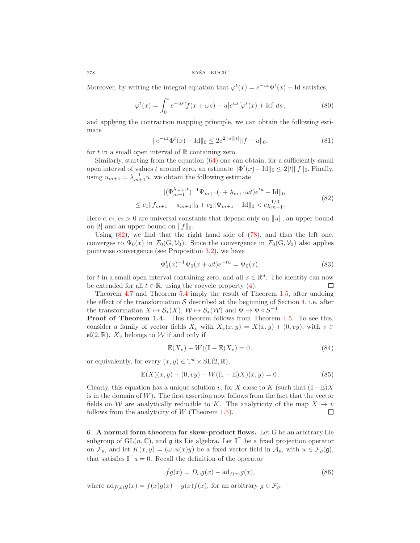Moreover, by writing the integral equation that  $\varphi^t(x) = e^{-ut}\Phi^t(x) - \text{Id}$  satisfies,

$$
\varphi^t(x) = \int_0^t e^{-us} [f(x + \omega s) - u] e^{us} [\varphi^s(x) + \mathrm{Id}] ds , \qquad (80)
$$

and applying the contraction mapping principle, we can obtain the following estimate

$$
||e^{-ut}\Phi^t(x) - \text{Id}||_0 \le 2e^{2||u|||t|}||f - u||_0,
$$
\n(81)

for t in a small open interval of  $\mathbb R$  containing zero.

Similarly, starting from the equation [\(64\)](#page-14-5) one can obtain, for a sufficiently small open interval of values t around zero, an estimate  $\|\Phi^t(x) - \text{Id}\|_0 \leq 2|t| \|f\|_0$ . Finally, using  $u_{m+1} = \lambda_{m+1}^{-1} u$ , we obtain the following estimate

$$
\|(\Phi_{m+1}^{\lambda_{m+1}t})^{-1}\Psi_{m+1}(\cdot+\lambda_{m+1}\omega t)e^{tu} - \text{Id}\|_{0}
$$
  
\n
$$
\leq c_{1} \|f_{m+1} - u_{m+1}\|_{0} + c_{2} \|\Psi_{m+1} - \text{Id}\|_{0} < c\chi_{m+1}^{1/3}.
$$
\n(82)

<span id="page-17-1"></span>Here  $c, c_1, c_2 > 0$  are universal constants that depend only on  $||u||$ , an upper bound on |t| and an upper bound on  $||f||_0$ .

Using  $(82)$ , we find that the right hand side of  $(78)$ , and thus the left one, converges to  $\Psi_0(x)$  in  $\mathcal{F}_0(G, V_0)$ . Since the convergence in  $\mathcal{F}_0(G, V_0)$  also applies pointwise convergence (see Proposition [3.2\)](#page-7-4), we have

$$
\Phi_0^t(x)^{-1}\Psi_0(x+\omega t)e^{-tu} = \Psi_0(x),\tag{83}
$$

for t in a small open interval containing zero, and all  $x \in \mathbb{R}^d$ . The identity can now be extended for all  $t \in \mathbb{R}$ , using the cocycle property [\(4\)](#page-0-5).

Theorem [4.7](#page-13-1) and Theorem [5.4](#page-16-0) imply the result of Theorem [1.5,](#page-3-0) after undoing the effect of the transformation  $S$  described at the beginning of Section [4,](#page-10-0) i.e. after the transformation  $X \mapsto \mathcal{S}_*(X)$ ,  $\mathcal{W} \mapsto \mathcal{S}_*(\mathcal{W})$  and  $\Psi \mapsto \Psi \circ S^{-1}$ .

Proof of Theorem 1.4. This theorem follows from Theorem [1.5.](#page-3-0) To see this, consider a family of vector fields  $X_v$  with  $X_v(x, y) = X(x, y) + (0, vy)$ , with  $v \in$  $\mathfrak{sl}(2,\mathbb{R})$ .  $X_v$  belongs to W if and only if

$$
\mathbb{E}(X_v) - W((\mathbb{I} - \mathbb{E})X_v) = 0, \qquad (84)
$$

or equivalently, for every  $(x, y) \in \mathbb{T}^d \times SL(2, \mathbb{R}),$ 

$$
\mathbb{E}(X)(x,y) + (0, vy) - W((\mathbb{I} - \mathbb{E})X)(x,y) = 0.
$$
 (85)

Clearly, this equation has a unique solution v, for X close to K (such that  $(\mathbb{I}-\mathbb{E})X$ is in the domain of  $W$ ). The first assertion now follows from the fact that the vector fields on W are analytically reducible to K. The analyticity of the map  $X \mapsto v$ follows from the analyticity of  $W$  (Theorem [1.5\)](#page-3-0). П

<span id="page-17-0"></span>6. A normal form theorem for skew-product flows. Let G be an arbitrary Lie subgroup of  $GL(n,\mathbb{C})$ , and  $\mathfrak g$  its Lie algebra. Let  $\mathbb{I}^{\top}$  be a fixed projection operator on  $\mathcal{F}_{\rho}$ , and let  $K(x, y) = (\omega, u(x)y)$  be a fixed vector field in  $\mathcal{A}_{\rho}$ , with  $u \in \mathcal{F}_{\rho}(\mathfrak{g})$ , that satisfies  $\mathbb{I} \mathbb{I}^u = 0$ . Recall the definition of the operator

$$
\hat{f}g(x) = D_{\omega}g(x) - \mathrm{ad}_{f(x)}g(x),\tag{86}
$$

where  $ad_{f(x)}g(x) = f(x)g(x) - g(x)f(x)$ , for an arbitrary  $g \in \mathcal{F}_{g}$ .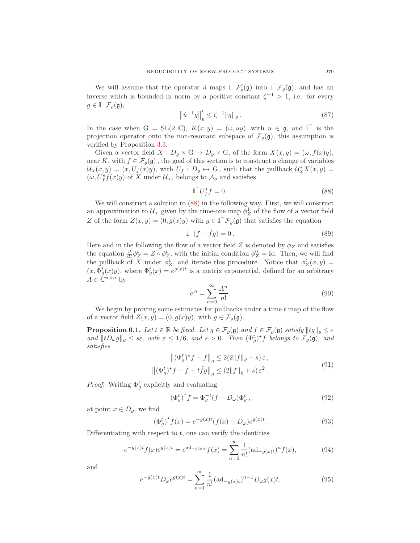We will assume that the operator  $\hat{u}$  maps  $\mathbb{I}^{-} \mathcal{F}'_{\varrho}(\mathfrak{g})$  into  $\mathbb{I}^{-} \mathcal{F}_{\varrho}(\mathfrak{g})$ , and has an inverse which is bounded in norm by a positive constant  $\zeta^{-1} > 1$ , i.e. for every  $g \in \mathbb{I}^{\top} \mathcal{F}_{\varrho}(\mathfrak{g}),$ 

$$
\left\|\hat{u}^{-1}g\right\|_{\varrho}' \le \zeta^{-1} \|g\|_{\varrho}.
$$
\n(87)

In the case when  $G = SL(2, \mathbb{C}), K(x, y) = (\omega, uy), \text{ with } u \in \mathfrak{g}, \text{ and } \mathbb{I}^{\top} \text{ is the }$ projection operator onto the non-resonant subspace of  $\mathcal{F}_{\rho}(\mathfrak{g})$ , this assumption is verified by Proposition [3.3.](#page-7-2)

Given a vector field  $X: D_{\varrho} \times G \to D_{\varrho} \times G$ , of the form  $X(x, y) = (\omega, f(x)y)$ , near K, with  $f \in \mathcal{F}_{\varrho}(\mathfrak{g})$ , the goal of this section is to construct a change of variables  $\mathcal{U}_X(x,y) = (x, U_f(x)y)$ , with  $U_f : D_\varrho \mapsto G$ , such that the pullback  $\mathcal{U}_X^* X(x,y) =$  $(\omega, U_f^* f(x)y)$  of X under  $\mathcal{U}_x$ , belongs to  $\mathcal{A}_{\varrho}$  and satisfies

<span id="page-18-0"></span>
$$
\mathbb{T}^{-} U_{f}^{\star} f = 0. \tag{88}
$$

We will construct a solution to [\(88\)](#page-18-0) in the following way. First, we will construct an approximation to  $\mathcal{U}_x$  given by the time-one map  $\phi_Z^1$  of the flow of a vector field Z of the form  $Z(x, y) = (0, g(x)y)$  with  $g \in \mathbb{I}^{\top} \mathcal{F}_{\varrho}(\mathfrak{g})$  that satisfies the equation

<span id="page-18-2"></span>
$$
\mathbb{I}^-(f - \hat{f}g) = 0.
$$
\n(89)

Here and in the following the flow of a vector field Z is denoted by  $\phi_Z$  and satisfies the equation  $\frac{d}{dt}\phi_Z^t = Z \circ \phi_Z^t$ , with the initial condition  $\phi_Z^0 = \text{Id}$ . Then, we will find the pullback of X under  $\phi_Z^1$ , and iterate this procedure. Notice that  $\phi_Z^t(x, y) =$  $(x, \Phi_g^t(x)y)$ , where  $\Phi_g^t(x) = e^{g(x)t}$  is a matrix exponential, defined for an arbitrary  $A \in \check{\mathbb{C}}^{n \times n}$  by

$$
e^A = \sum_{n=0}^{\infty} \frac{A^n}{n!}.
$$
\n(90)

We begin by proving some estimates for pullbacks under a time  $t$  map of the flow of a vector field  $Z(x, y) = (0, g(x)y)$ , with  $g \in \mathcal{F}_{\rho}(\mathfrak{g})$ .

<span id="page-18-3"></span>**Proposition 6.1.** Let  $t \in \mathbb{R}$  be fixed. Let  $g \in \mathcal{F}_{\rho}(\mathfrak{g})$  and  $f \in \mathcal{F}_{\rho}(\mathfrak{g})$  satisfy  $||tg||_{\rho} \leq \varepsilon$ and  $||tD_{\omega}g||_{\varrho} \leq s\varepsilon$ , with  $\varepsilon \leq 1/6$ , and  $s > 0$ . Then  $(\Phi_g^t)^{\star}f$  belongs to  $\mathcal{F}_{\varrho}(\mathfrak{g})$ , and satisfies

$$
\left\|(\Phi_g^t)^* f - f\right\|_{\varrho} \le 2(2\|f\|_{\varrho} + s) \,\varepsilon\,,
$$
  

$$
\left\|(\Phi_g^t)^* f - f + t\hat{f}g\right\|_{\varrho} \le (2\|f\|_{\varrho} + s) \,\varepsilon^2\,.
$$
 (91)

<span id="page-18-1"></span>*Proof.* Writing  $\Phi_{g}^{t}$  explicitly and evaluating

$$
\left(\Phi_g^t\right)^{\star} f = \Phi_g^{-t} (f - D_\omega) \Phi_g^t \,, \tag{92}
$$

at point  $x \in D_\rho$ , we find

$$
\left(\Phi_g^t\right)^* f(x) = e^{-g(x)t} (f(x) - D_\omega) e^{g(x)t}.\tag{93}
$$

Differentiating with respect to  $t$ , one can verify the identities

$$
e^{-g(x)t}f(x)e^{g(x)t} = e^{\mathrm{ad}_{-g(x)t}}f(x) = \sum_{n=0}^{\infty} \frac{1}{n!}(\mathrm{ad}_{-g(x)t})^n f(x),\tag{94}
$$

and

$$
e^{-g(x)t}D_{\omega}e^{g(x)t} = \sum_{n=1}^{\infty} \frac{1}{n!} (\text{ad}_{-g(x)t})^{n-1} D_{\omega}g(x)t.
$$
 (95)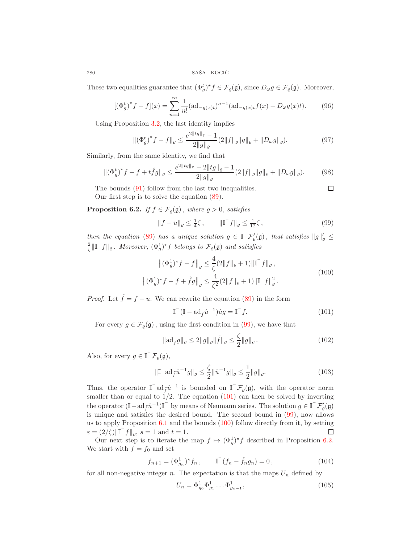These two equalities guarantee that  $(\Phi_g^t)^* f \in \mathcal{F}_g(\mathfrak{g})$ , since  $D_\omega g \in \mathcal{F}_g(\mathfrak{g})$ . Moreover,

$$
[(\Phi_g^t)^* f - f](x) = \sum_{n=1}^{\infty} \frac{1}{n!} (\text{ad}_{-g(x)t})^{n-1} (\text{ad}_{-g(x)t} f(x) - D_{\omega}g(x)t).
$$
 (96)

Using Proposition [3.2,](#page-7-4) the last identity implies

$$
\|(\Phi_g^t)^* f - f\|_{\varrho} \le \frac{e^{2||tg||_{\varrho}} - 1}{2||g||_{\varrho}} (2||f||_{\varrho}||g||_{\varrho} + ||D_\omega g||_{\varrho}).\tag{97}
$$

Similarly, from the same identity, we find that

$$
\|(\Phi_g^t)^* f - f + t \hat{f}g\|_{\varrho} \le \frac{e^{2\|tg\|_{\varrho}} - 2\|tg\|_{\varrho} - 1}{2\|g\|_{\varrho}} (2\|f\|_{\varrho} \|g\|_{\varrho} + \|D_{\omega}g\|_{\varrho}).\tag{98}
$$

The bounds [\(91\)](#page-18-1) follow from the last two inequalities. Our first step is to solve the equation [\(89\)](#page-18-2).

<span id="page-19-3"></span>**Proposition 6.2.** If  $f \in \mathcal{F}_{\varrho}(\mathfrak{g})$ , where  $\varrho > 0$ , satisfies

<span id="page-19-0"></span>
$$
||f - u||_{\varrho} \le \frac{1}{4}\zeta, \qquad ||\mathbb{I} \cdot f||_{\varrho} \le \frac{1}{12}\zeta, \qquad (99)
$$

 $\Box$ 

then the equation [\(89\)](#page-18-2) has a unique solution  $g \in \mathbb{I}^{-} \mathcal{F}'_{\varrho}(\mathfrak{g})$ , that satisfies  $||g||'_{\varrho} \leq$  $\frac{2}{\zeta} \|\mathbb{I}^\top f\|_{\varrho}$ . Moreover,  $(\Phi_g^1)^* f$  belongs to  $\mathcal{F}_{\varrho}(\mathfrak{g})$  and satisfies

$$
\left\|(\Phi_g^1)^* f - f\right\|_{\varrho} \le \frac{4}{\zeta} (2\|f\|_{\varrho} + 1) \|\mathbb{I}^{-} f\|_{\varrho},
$$
  

$$
\left\|(\Phi_g^1)^* f - f + \hat{f}g\right\|_{\varrho} \le \frac{4}{\zeta^2} (2\|f\|_{\varrho} + 1) \|\mathbb{I}^{-} f\|_{\varrho}^2.
$$
 (100)

<span id="page-19-2"></span>*Proof.* Let  $\tilde{f} = f - u$ . We can rewrite the equation [\(89\)](#page-18-2) in the form

<span id="page-19-1"></span>
$$
\mathbb{I}^{-}(\mathbb{I} - \mathrm{ad}_{\hat{f}}\hat{u}^{-1})\hat{u}g = \mathbb{I}^{-}f.
$$
\n(101)

For every  $g \in \mathcal{F}_{\rho}(\mathfrak{g})$ , using the first condition in [\(99\)](#page-19-0), we have that

$$
\|\mathrm{ad}_{\tilde{f}}g\|_{\varrho} \le 2\|g\|_{\varrho}\|\tilde{f}\|_{\varrho} \le \frac{\zeta}{2}\|g\|_{\varrho}.
$$
 (102)

Also, for every  $g \in \mathbb{I}^-\mathcal{F}_{\varrho}(\mathfrak{g}),$ 

$$
\|\mathbb{I}^{\top} \mathrm{ad}_{\tilde{f}} \hat{u}^{-1} g\|_{\varrho} \le \frac{\zeta}{2} \|\hat{u}^{-1} g\|_{\varrho} \le \frac{1}{2} \|g\|_{\varrho}.
$$
 (103)

Thus, the operator  $\mathbb{I}^{\dagger}$  ad $\tilde{f}^{\hat{u}^{-1}}$  is bounded on  $\mathbb{I}^{\dagger}$   $\mathcal{F}_{\varrho}(\mathfrak{g})$ , with the operator norm smaller than or equal to  $1/2$ . The equation [\(101\)](#page-19-1) can then be solved by inverting the operator  $(\mathbb{I}-ad_{\tilde{f}}\hat{u}^{-1})\mathbb{I}$  by means of Neumann series. The solution  $g \in \mathbb{I}^{-} \mathcal{F}'_{\varrho}(\mathfrak{g})$ is unique and satisfies the desired bound. The second bound in [\(99\)](#page-19-0), now allows us to apply Proposition [6.1](#page-18-3) and the bounds [\(100\)](#page-19-2) follow directly from it, by setting  $\varepsilon = (2/\zeta) \|\mathbb{I}^{-} f\|_{\varrho}, s = 1 \text{ and } t = 1.$ □

Our next step is to iterate the map  $f \mapsto (\Phi_g^1)^* f$  described in Proposition [6.2.](#page-19-3) We start with  $f = f_0$  and set

<span id="page-19-4"></span>
$$
f_{n+1} = (\Phi_{g_n}^1)^* f_n , \qquad \mathbb{I}^{\dagger} (f_n - \hat{f}_n g_n) = 0 , \qquad (104)
$$

for all non-negative integer n. The expectation is that the maps  $U_n$  defined by

$$
U_n = \Phi_{g_0}^1 \Phi_{g_1}^1 \dots \Phi_{g_{n-1}}^1,\tag{105}
$$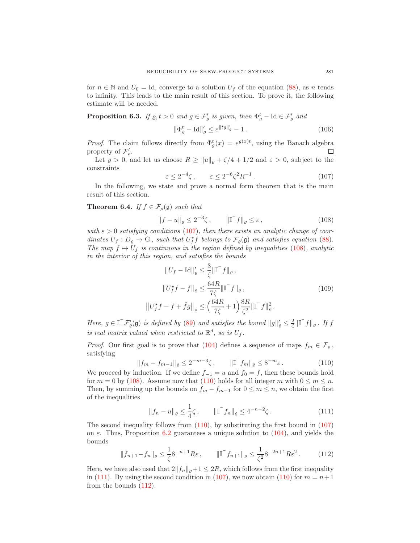for  $n \in \mathbb{N}$  and  $U_0 = \text{Id}$ , converge to a solution  $U_f$  of the equation [\(88\)](#page-18-0), as n tends to infinity. This leads to the main result of this section. To prove it, the following estimate will be needed.

<span id="page-20-6"></span>**Proposition 6.3.** If  $\varrho, t > 0$  and  $g \in \mathcal{F}'_g$  is given, then  $\Phi_g^t$  – Id  $\in \mathcal{F}'_g$  and

$$
\|\Phi_g^t - \text{Id}\|_{\varrho}' \le e^{\|tg\|_{\varrho}'} - 1. \tag{106}
$$

*Proof.* The claim follows directly from  $\Phi_g^t(x) = e^{g(x)t}$ , using the Banach algebra property of  $\mathcal{F}'_{\varrho}$ . □

Let  $\varrho > 0$ , and let us choose  $R \ge ||u||_{\varrho} + \zeta/4 + 1/2$  and  $\varepsilon > 0$ , subject to the constraints

<span id="page-20-1"></span>
$$
\varepsilon \le 2^{-4}\zeta \,, \qquad \varepsilon \le 2^{-6}\zeta^2 R^{-1} \,. \tag{107}
$$

In the following, we state and prove a normal form theorem that is the main result of this section.

<span id="page-20-0"></span>**Theorem 6.4.** If  $f \in \mathcal{F}_{\rho}(\mathfrak{g})$  such that

<span id="page-20-2"></span>
$$
||f - u||_{\varrho} \le 2^{-3}\zeta, \qquad ||\mathbb{T}^{-}f||_{\varrho} \le \varepsilon,
$$
\n(108)

with  $\varepsilon > 0$  satisfying conditions [\(107\)](#page-20-1), then there exists an analytic change of coordinates  $U_f: D_{\varrho} \to G$ , such that  $U_f^* f$  belongs to  $\mathcal{F}_{\varrho}(\mathfrak{g})$  and satisfies equation [\(88\)](#page-18-0). The map  $f \mapsto U_f$  is continuous in the region defined by inequalities [\(108\)](#page-20-2), analytic in the interior of this region, and satisfies the bounds

$$
||U_f - Id||'_{\varrho} \le \frac{3}{\zeta} ||\mathbb{I}^- f||_{\varrho},
$$
  
\n
$$
||U_f^* f - f||_{\varrho} \le \frac{64R}{7\zeta} ||\mathbb{I}^- f||_{\varrho},
$$
  
\n
$$
||U_f^* f - f + \hat{f}g||_{\varrho} \le \left(\frac{64R}{7\zeta} + 1\right) \frac{8R}{\zeta^2} ||\mathbb{I}^- f||_{\varrho}^2.
$$
\n(109)

<span id="page-20-7"></span>Here,  $g \in \mathbb{I}^{\top} \mathcal{F}'_{\varrho}(\mathfrak{g})$  is defined by [\(89\)](#page-18-2) and satisfies the bound  $||g||'_{\varrho} \leq \frac{2}{\zeta} ||\mathbb{I}^{\top} f||_{\varrho}$ . If f is real matrix valued when restricted to  $\mathbb{R}^d$ , so is  $U_f$ .

*Proof.* Our first goal is to prove that [\(104\)](#page-19-4) defines a sequence of maps  $f_m \in \mathcal{F}_{\rho}$ , satisfying

<span id="page-20-3"></span>
$$
||f_m - f_{m-1}||_{\varrho} \le 2^{-m-3}\zeta, \qquad ||\mathbb{T}^{-}f_m||_{\varrho} \le 8^{-m}\varepsilon. \tag{110}
$$

We proceed by induction. If we define  $f_{-1} = u$  and  $f_0 = f$ , then these bounds hold for  $m = 0$  by [\(108\)](#page-20-2). Assume now that [\(110\)](#page-20-3) holds for all integer m with  $0 \le m \le n$ . Then, by summing up the bounds on  $f_m - f_{m-1}$  for  $0 \le m \le n$ , we obtain the first of the inequalities

<span id="page-20-4"></span>
$$
||f_n - u||_{\varrho} \le \frac{1}{4}\zeta, \qquad ||\mathbb{T}^{-}f_n||_{\varrho} \le 4^{-n-2}\zeta.
$$
 (111)

The second inequality follows from  $(110)$ , by substituting the first bound in  $(107)$ on  $\varepsilon$ . Thus, Proposition [6.2](#page-19-3) guarantees a unique solution to [\(104\)](#page-19-4), and yields the bounds

<span id="page-20-5"></span>
$$
||f_{n+1} - f_n||_{\varrho} \le \frac{1}{\zeta} 8^{-n+1} R \varepsilon, \qquad ||\mathbb{T}^{-} f_{n+1}||_{\varrho} \le \frac{1}{\zeta^2} 8^{-2n+1} R \varepsilon^2. \tag{112}
$$

Here, we have also used that  $2||f_n||_{\rho}+1 \leq 2R$ , which follows from the first inequality in [\(111\)](#page-20-4). By using the second condition in [\(107\)](#page-20-1), we now obtain [\(110\)](#page-20-3) for  $m = n+1$ from the bounds [\(112\)](#page-20-5).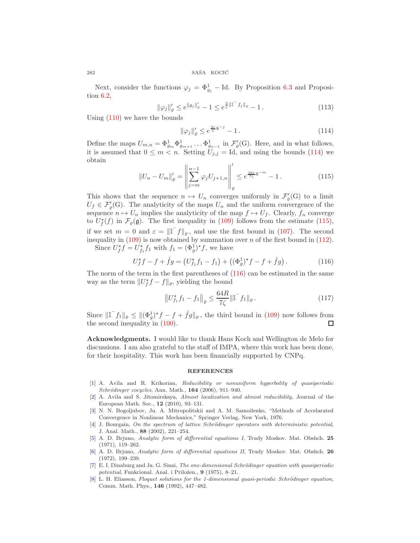Next, consider the functions  $\varphi_j = \Phi_{g_j}^1$  – Id. By Proposition [6.3](#page-20-6) and Proposition [6.2,](#page-19-3)

$$
\|\varphi_j\|_{\varrho}' \le e^{\|g_j\|_{\varrho}'} - 1 \le e^{\frac{2}{\zeta}\|\mathbb{I}^{\top}f_j\|_{\varrho}} - 1. \tag{113}
$$

Using [\(110\)](#page-20-3) we have the bounds

<span id="page-21-8"></span>
$$
\|\varphi_j\|_{\varrho}' \le e^{\frac{2\varepsilon}{\zeta}8^{-j}} - 1. \tag{114}
$$

Define the maps  $U_{m,n} = \Phi_{g_m}^1 \Phi_{g_{m+1}}^1 \dots \Phi_{g_{n-1}}^1$  in  $\mathcal{F}'_{\varrho}(G)$ . Here, and in what follows, it is assumed that  $0 \leq m < n$ . Setting  $U_{j,j} = \text{Id}$ , and using the bounds [\(114\)](#page-21-8) we obtain

<span id="page-21-9"></span>
$$
||U_n - U_m||'_{\varrho} = \left\| \sum_{j=m}^{n-1} \varphi_j U_{j+1,n} \right\|_{\varrho}' \le e^{\frac{16\varepsilon}{7\zeta} 8^{-m}} - 1. \tag{115}
$$

This shows that the sequence  $n \mapsto U_n$  converges uniformly in  $\mathcal{F}'_p(G)$  to a limit  $U_f \in \mathcal{F}'_{\rho}(G)$ . The analyticity of the maps  $U_n$  and the uniform convergence of the sequence  $n \mapsto U_n$  implies the analyticity of the map  $f \mapsto U_f$ . Clearly,  $f_n$  converge to  $U_f^{\star}(f)$  in  $\mathcal{F}_{\varrho}(\mathfrak{g})$ . The first inequality in [\(109\)](#page-20-7) follows from the estimate [\(115\)](#page-21-9), if we set  $m = 0$  and  $\varepsilon = ||\mathbf{I}^\top f||_\varrho$ , and use the first bound in [\(107\)](#page-20-1). The second inequality in  $(109)$  is now obtained by summation over n of the first bound in  $(112)$ .

Since  $U_f^* f = U_{f_1}^* f_1$  with  $f_1 = (\Phi_g^1)^* f$ , we have

<span id="page-21-10"></span>
$$
U_f^* f - f + \hat{f}g = (U_{f_1}^* f_1 - f_1) + ((\Phi_g^1)^* f - f + \hat{f}g). \tag{116}
$$

The norm of the term in the first parentheses of [\(116\)](#page-21-10) can be estimated in the same way as the term  $||U_f^* f - f||_\varrho$ , yielding the bound

$$
\left\| U_{f_1}^{\star} f_1 - f_1 \right\|_{\varrho} \le \frac{64R}{7\zeta} \|\mathbb{I}^{-} f_1\|_{\varrho}.
$$
 (117)

Since  $\|\mathbb{I}^\top f_1\|_{\varrho} \leq \|(\Phi_g^1)^* f - f + \hat{f}g\|_{\varrho}$ , the third bound in [\(109\)](#page-20-7) now follows from the second inequality in [\(100\)](#page-19-2). □

Acknowledgments. I would like to thank Hans Koch and Wellington de Melo for discussions. I am also grateful to the staff of IMPA, where this work has been done, for their hospitality. This work has been financially supported by CNPq.

#### **REFERENCES**

- <span id="page-21-5"></span>[\[1\]](http://www.ams.org/mathscinet-getitem?mr=MR2259248&return=pdf) A. Avila and R. Krikorian, Reducibility or nonuniform hyperbolity of quasiperiodic Schrödinger cocycles, Ann. Math., 164 (2006), 911-940.
- <span id="page-21-3"></span>[\[2\]](http://www.ams.org/mathscinet-getitem?mr=MR2578605&return=pdf) A. Avila and S. Jitomirskaya, Almost localization and almost reducibility, Journal of the European Math. Soc., 12 (2010), 93–131.
- <span id="page-21-0"></span>[\[3\]](http://www.ams.org/mathscinet-getitem?mr=MR0407380&return=pdf) N. N. Bogoljubov, Ju. A. Mitropolitskii and A. M. Samoilenko, "Methods of Accelarated Convergence in Nonlinear Mechanics," Springer Verlag, New York, 1976.
- <span id="page-21-4"></span>[\[4\]](http://www.ams.org/mathscinet-getitem?mr=MR1984594&return=pdf) J. Bourgain, On the spectrum of lattice Schrödinger operators with deterministic potential, J. Anal. Math., 88 (2002), 221–254.
- <span id="page-21-6"></span>[\[5\]](http://www.ams.org/mathscinet-getitem?mr=MR0377192&return=pdf) A. D. Brjuno, Analytic form of differential equations I, Trudy Moskov. Mat. Obshch. 25 (1971), 119–262.
- <span id="page-21-7"></span>[\[6\]](http://www.ams.org/mathscinet-getitem?mr=MR0377192&return=pdf) A. D. Brjuno, Analytic form of differential equations II, Trudy Moskov. Mat. Obshch. 26 (1972), 199–239.
- <span id="page-21-1"></span>[\[7\]](http://www.ams.org/mathscinet-getitem?mr=MR0470318&return=pdf) E. I. Dinaburg and Ja. G. Sinai, The one-dimensional Schrödinger equation with quasiperiodic potential, Funkcional. Anal. i Priložen., 9 (1975), 8–21.
- <span id="page-21-2"></span>[\[8\]](http://www.ams.org/mathscinet-getitem?mr=MR1167299&return=pdf) L. H. Eliasson, Floquet solutions for the 1-dimensional quasi-periodic Schrödinger equation, Comm. Math. Phys., 146 (1992), 447–482.